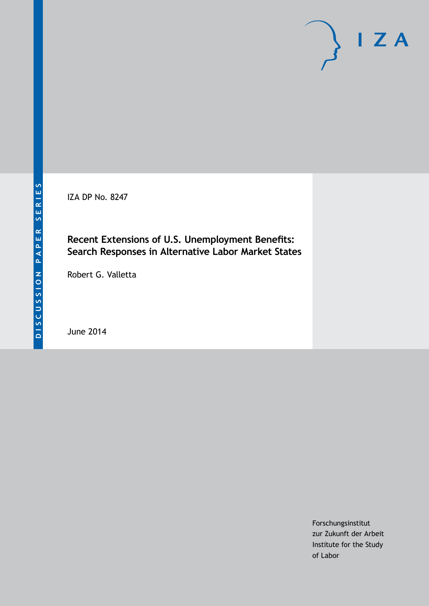IZA DP No. 8247

# **Recent Extensions of U.S. Unemployment Benefits: Search Responses in Alternative Labor Market States**

Robert G. Valletta

June 2014

Forschungsinstitut zur Zukunft der Arbeit Institute for the Study of Labor

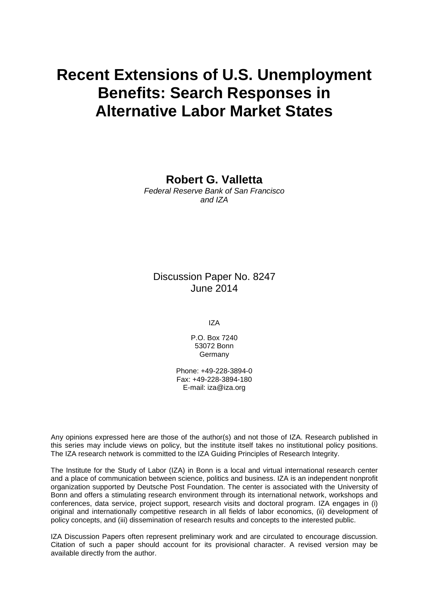# **Recent Extensions of U.S. Unemployment Benefits: Search Responses in Alternative Labor Market States**

**Robert G. Valletta**

*Federal Reserve Bank of San Francisco and IZA*

Discussion Paper No. 8247 June 2014

IZA

P.O. Box 7240 53072 Bonn Germany

Phone: +49-228-3894-0 Fax: +49-228-3894-180 E-mail: [iza@iza.org](mailto:iza@iza.org)

Any opinions expressed here are those of the author(s) and not those of IZA. Research published in this series may include views on policy, but the institute itself takes no institutional policy positions. The IZA research network is committed to the IZA Guiding Principles of Research Integrity.

The Institute for the Study of Labor (IZA) in Bonn is a local and virtual international research center and a place of communication between science, politics and business. IZA is an independent nonprofit organization supported by Deutsche Post Foundation. The center is associated with the University of Bonn and offers a stimulating research environment through its international network, workshops and conferences, data service, project support, research visits and doctoral program. IZA engages in (i) original and internationally competitive research in all fields of labor economics, (ii) development of policy concepts, and (iii) dissemination of research results and concepts to the interested public.

<span id="page-1-0"></span>IZA Discussion Papers often represent preliminary work and are circulated to encourage discussion. Citation of such a paper should account for its provisional character. A revised version may be available directly from the author.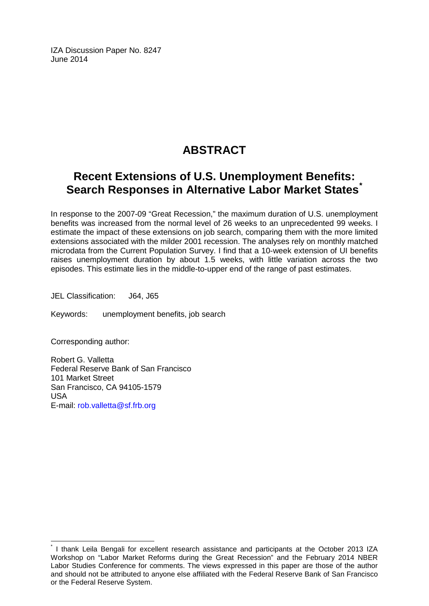IZA Discussion Paper No. 8247 June 2014

# **ABSTRACT**

# **Recent Extensions of U.S. Unemployment Benefits: Search Responses in Alternative Labor Market States[\\*](#page-1-0)**

In response to the 2007-09 "Great Recession," the maximum duration of U.S. unemployment benefits was increased from the normal level of 26 weeks to an unprecedented 99 weeks. I estimate the impact of these extensions on job search, comparing them with the more limited extensions associated with the milder 2001 recession. The analyses rely on monthly matched microdata from the Current Population Survey. I find that a 10-week extension of UI benefits raises unemployment duration by about 1.5 weeks, with little variation across the two episodes. This estimate lies in the middle-to-upper end of the range of past estimates.

JEL Classification: J64, J65

Keywords: unemployment benefits, job search

Corresponding author:

Robert G. Valletta Federal Reserve Bank of San Francisco 101 Market Street San Francisco, CA 94105-1579 USA E-mail: [rob.valletta@sf.frb.org](mailto:rob.valletta@sf.frb.org)

I thank Leila Bengali for excellent research assistance and participants at the October 2013 IZA Workshop on "Labor Market Reforms during the Great Recession" and the February 2014 NBER Labor Studies Conference for comments. The views expressed in this paper are those of the author and should not be attributed to anyone else affiliated with the Federal Reserve Bank of San Francisco or the Federal Reserve System.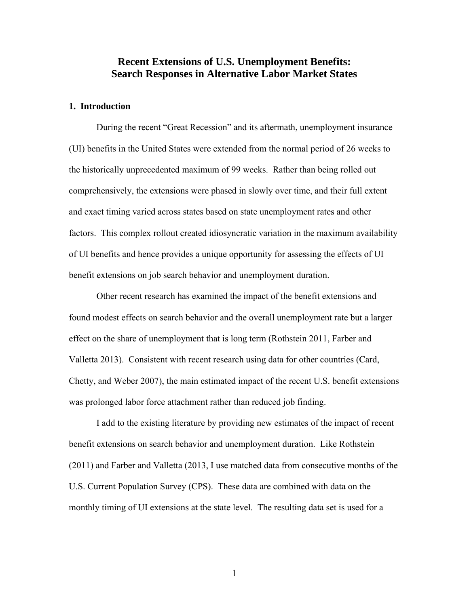# **Recent Extensions of U.S. Unemployment Benefits: Search Responses in Alternative Labor Market States**

# **1. Introduction**

During the recent "Great Recession" and its aftermath, unemployment insurance (UI) benefits in the United States were extended from the normal period of 26 weeks to the historically unprecedented maximum of 99 weeks. Rather than being rolled out comprehensively, the extensions were phased in slowly over time, and their full extent and exact timing varied across states based on state unemployment rates and other factors. This complex rollout created idiosyncratic variation in the maximum availability of UI benefits and hence provides a unique opportunity for assessing the effects of UI benefit extensions on job search behavior and unemployment duration.

Other recent research has examined the impact of the benefit extensions and found modest effects on search behavior and the overall unemployment rate but a larger effect on the share of unemployment that is long term (Rothstein 2011, Farber and Valletta 2013). Consistent with recent research using data for other countries (Card, Chetty, and Weber 2007), the main estimated impact of the recent U.S. benefit extensions was prolonged labor force attachment rather than reduced job finding.

I add to the existing literature by providing new estimates of the impact of recent benefit extensions on search behavior and unemployment duration. Like Rothstein (2011) and Farber and Valletta (2013, I use matched data from consecutive months of the U.S. Current Population Survey (CPS). These data are combined with data on the monthly timing of UI extensions at the state level. The resulting data set is used for a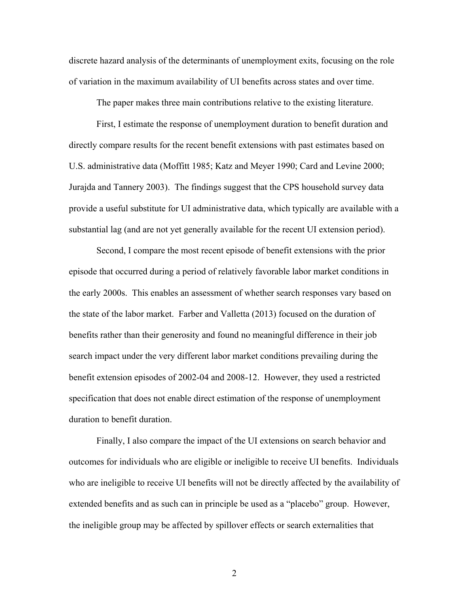discrete hazard analysis of the determinants of unemployment exits, focusing on the role of variation in the maximum availability of UI benefits across states and over time.

The paper makes three main contributions relative to the existing literature.

First, I estimate the response of unemployment duration to benefit duration and directly compare results for the recent benefit extensions with past estimates based on U.S. administrative data (Moffitt 1985; Katz and Meyer 1990; Card and Levine 2000; Jurajda and Tannery 2003). The findings suggest that the CPS household survey data provide a useful substitute for UI administrative data, which typically are available with a substantial lag (and are not yet generally available for the recent UI extension period).

Second, I compare the most recent episode of benefit extensions with the prior episode that occurred during a period of relatively favorable labor market conditions in the early 2000s. This enables an assessment of whether search responses vary based on the state of the labor market. Farber and Valletta (2013) focused on the duration of benefits rather than their generosity and found no meaningful difference in their job search impact under the very different labor market conditions prevailing during the benefit extension episodes of 2002-04 and 2008-12. However, they used a restricted specification that does not enable direct estimation of the response of unemployment duration to benefit duration.

Finally, I also compare the impact of the UI extensions on search behavior and outcomes for individuals who are eligible or ineligible to receive UI benefits. Individuals who are ineligible to receive UI benefits will not be directly affected by the availability of extended benefits and as such can in principle be used as a "placebo" group. However, the ineligible group may be affected by spillover effects or search externalities that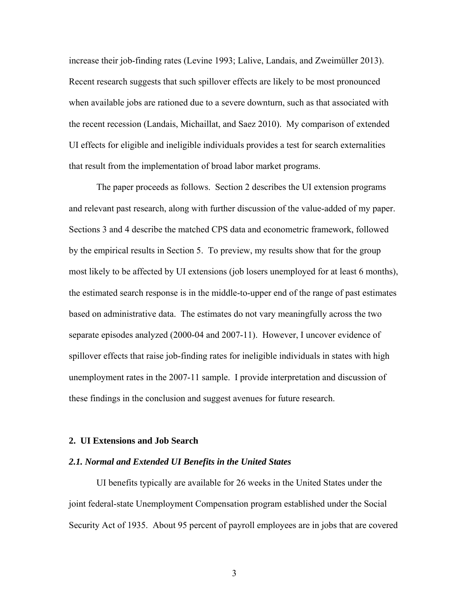increase their job-finding rates (Levine 1993; Lalive, Landais, and Zweimüller 2013). Recent research suggests that such spillover effects are likely to be most pronounced when available jobs are rationed due to a severe downturn, such as that associated with the recent recession (Landais, Michaillat, and Saez 2010). My comparison of extended UI effects for eligible and ineligible individuals provides a test for search externalities that result from the implementation of broad labor market programs.

The paper proceeds as follows. Section 2 describes the UI extension programs and relevant past research, along with further discussion of the value-added of my paper. Sections 3 and 4 describe the matched CPS data and econometric framework, followed by the empirical results in Section 5. To preview, my results show that for the group most likely to be affected by UI extensions (job losers unemployed for at least 6 months), the estimated search response is in the middle-to-upper end of the range of past estimates based on administrative data. The estimates do not vary meaningfully across the two separate episodes analyzed (2000-04 and 2007-11). However, I uncover evidence of spillover effects that raise job-finding rates for ineligible individuals in states with high unemployment rates in the 2007-11 sample. I provide interpretation and discussion of these findings in the conclusion and suggest avenues for future research.

#### **2. UI Extensions and Job Search**

#### *2.1. Normal and Extended UI Benefits in the United States*

UI benefits typically are available for 26 weeks in the United States under the joint federal-state Unemployment Compensation program established under the Social Security Act of 1935. About 95 percent of payroll employees are in jobs that are covered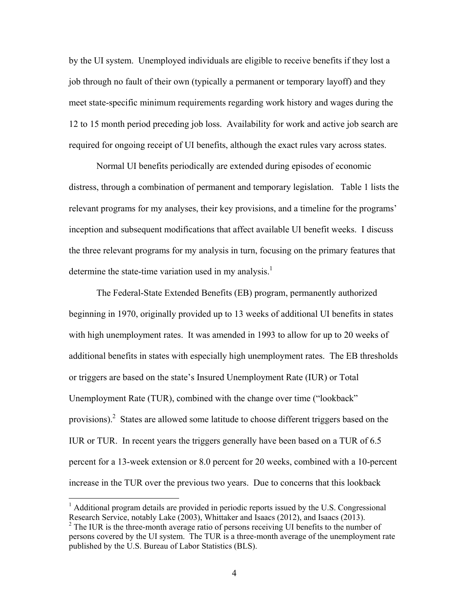by the UI system. Unemployed individuals are eligible to receive benefits if they lost a job through no fault of their own (typically a permanent or temporary layoff) and they meet state-specific minimum requirements regarding work history and wages during the 12 to 15 month period preceding job loss. Availability for work and active job search are required for ongoing receipt of UI benefits, although the exact rules vary across states.

Normal UI benefits periodically are extended during episodes of economic distress, through a combination of permanent and temporary legislation. Table 1 lists the relevant programs for my analyses, their key provisions, and a timeline for the programs' inception and subsequent modifications that affect available UI benefit weeks. I discuss the three relevant programs for my analysis in turn, focusing on the primary features that determine the state-time variation used in my analysis.<sup>1</sup>

The Federal-State Extended Benefits (EB) program, permanently authorized beginning in 1970, originally provided up to 13 weeks of additional UI benefits in states with high unemployment rates. It was amended in 1993 to allow for up to 20 weeks of additional benefits in states with especially high unemployment rates. The EB thresholds or triggers are based on the state's Insured Unemployment Rate (IUR) or Total Unemployment Rate (TUR), combined with the change over time ("lookback" provisions).<sup>2</sup> States are allowed some latitude to choose different triggers based on the IUR or TUR. In recent years the triggers generally have been based on a TUR of 6.5 percent for a 13-week extension or 8.0 percent for 20 weeks, combined with a 10-percent increase in the TUR over the previous two years. Due to concerns that this lookback

<u>.</u>

<sup>&</sup>lt;sup>1</sup> Additional program details are provided in periodic reports issued by the U.S. Congressional Research Service, notably Lake (2003), Whittaker and Isaacs (2012), and Isaacs (2013).  $2^2$  The IUR is the three-month average ratio of persons receiving UI benefits to the number of persons covered by the UI system. The TUR is a three-month average of the unemployment rate published by the U.S. Bureau of Labor Statistics (BLS).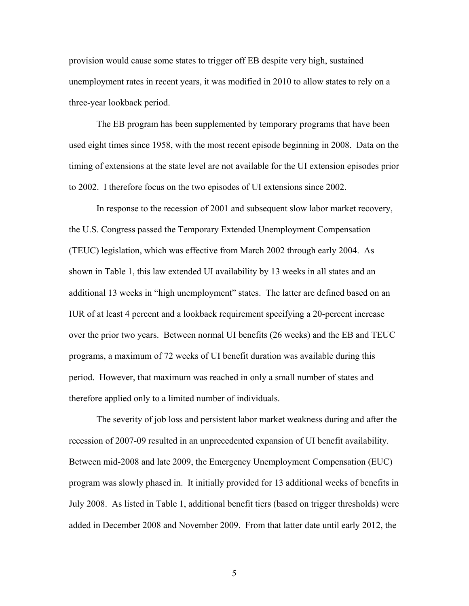provision would cause some states to trigger off EB despite very high, sustained unemployment rates in recent years, it was modified in 2010 to allow states to rely on a three-year lookback period.

The EB program has been supplemented by temporary programs that have been used eight times since 1958, with the most recent episode beginning in 2008. Data on the timing of extensions at the state level are not available for the UI extension episodes prior to 2002. I therefore focus on the two episodes of UI extensions since 2002.

In response to the recession of 2001 and subsequent slow labor market recovery, the U.S. Congress passed the Temporary Extended Unemployment Compensation (TEUC) legislation, which was effective from March 2002 through early 2004. As shown in Table 1, this law extended UI availability by 13 weeks in all states and an additional 13 weeks in "high unemployment" states. The latter are defined based on an IUR of at least 4 percent and a lookback requirement specifying a 20-percent increase over the prior two years. Between normal UI benefits (26 weeks) and the EB and TEUC programs, a maximum of 72 weeks of UI benefit duration was available during this period. However, that maximum was reached in only a small number of states and therefore applied only to a limited number of individuals.

The severity of job loss and persistent labor market weakness during and after the recession of 2007-09 resulted in an unprecedented expansion of UI benefit availability. Between mid-2008 and late 2009, the Emergency Unemployment Compensation (EUC) program was slowly phased in. It initially provided for 13 additional weeks of benefits in July 2008. As listed in Table 1, additional benefit tiers (based on trigger thresholds) were added in December 2008 and November 2009. From that latter date until early 2012, the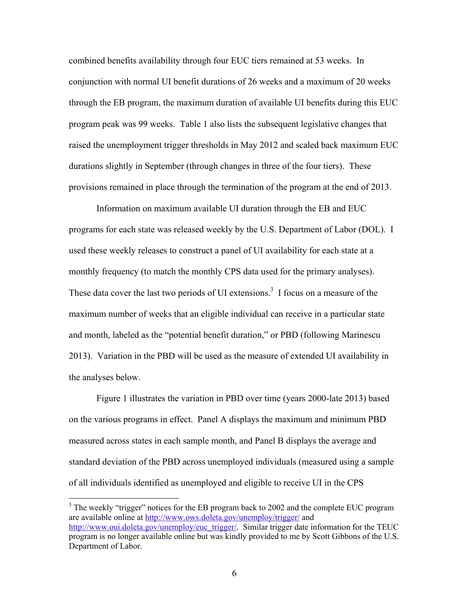combined benefits availability through four EUC tiers remained at 53 weeks. In conjunction with normal UI benefit durations of 26 weeks and a maximum of 20 weeks through the EB program, the maximum duration of available UI benefits during this EUC program peak was 99 weeks. Table 1 also lists the subsequent legislative changes that raised the unemployment trigger thresholds in May 2012 and scaled back maximum EUC durations slightly in September (through changes in three of the four tiers). These provisions remained in place through the termination of the program at the end of 2013.

Information on maximum available UI duration through the EB and EUC programs for each state was released weekly by the U.S. Department of Labor (DOL). I used these weekly releases to construct a panel of UI availability for each state at a monthly frequency (to match the monthly CPS data used for the primary analyses). These data cover the last two periods of UI extensions.<sup>3</sup> I focus on a measure of the maximum number of weeks that an eligible individual can receive in a particular state and month, labeled as the "potential benefit duration," or PBD (following Marinescu 2013). Variation in the PBD will be used as the measure of extended UI availability in the analyses below.

Figure 1 illustrates the variation in PBD over time (years 2000-late 2013) based on the various programs in effect. Panel A displays the maximum and minimum PBD measured across states in each sample month, and Panel B displays the average and standard deviation of the PBD across unemployed individuals (measured using a sample of all individuals identified as unemployed and eligible to receive UI in the CPS

 $3$  The weekly "trigger" notices for the EB program back to 2002 and the complete EUC program are available online at http://www.ows.doleta.gov/unemploy/trigger/ and http://www.oui.doleta.gov/unemploy/euc\_trigger/. Similar trigger date information for the TEUC program is no longer available online but was kindly provided to me by Scott Gibbons of the U.S. Department of Labor.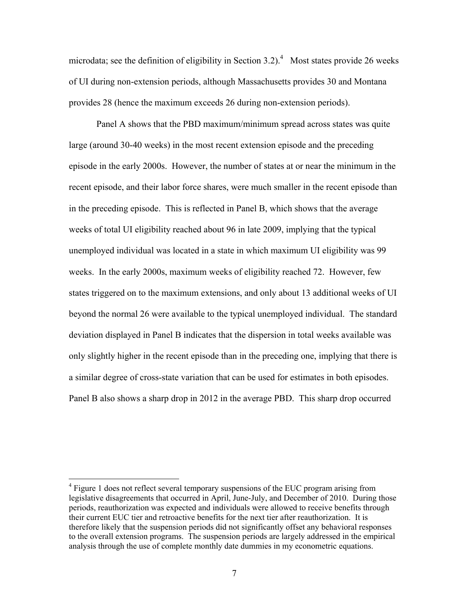microdata; see the definition of eligibility in Section 3.2).<sup>4</sup> Most states provide 26 weeks of UI during non-extension periods, although Massachusetts provides 30 and Montana provides 28 (hence the maximum exceeds 26 during non-extension periods).

Panel A shows that the PBD maximum/minimum spread across states was quite large (around 30-40 weeks) in the most recent extension episode and the preceding episode in the early 2000s. However, the number of states at or near the minimum in the recent episode, and their labor force shares, were much smaller in the recent episode than in the preceding episode. This is reflected in Panel B, which shows that the average weeks of total UI eligibility reached about 96 in late 2009, implying that the typical unemployed individual was located in a state in which maximum UI eligibility was 99 weeks. In the early 2000s, maximum weeks of eligibility reached 72. However, few states triggered on to the maximum extensions, and only about 13 additional weeks of UI beyond the normal 26 were available to the typical unemployed individual. The standard deviation displayed in Panel B indicates that the dispersion in total weeks available was only slightly higher in the recent episode than in the preceding one, implying that there is a similar degree of cross-state variation that can be used for estimates in both episodes. Panel B also shows a sharp drop in 2012 in the average PBD. This sharp drop occurred

<sup>&</sup>lt;sup>4</sup> Figure 1 does not reflect several temporary suspensions of the EUC program arising from legislative disagreements that occurred in April, June-July, and December of 2010. During those periods, reauthorization was expected and individuals were allowed to receive benefits through their current EUC tier and retroactive benefits for the next tier after reauthorization. It is therefore likely that the suspension periods did not significantly offset any behavioral responses to the overall extension programs. The suspension periods are largely addressed in the empirical analysis through the use of complete monthly date dummies in my econometric equations.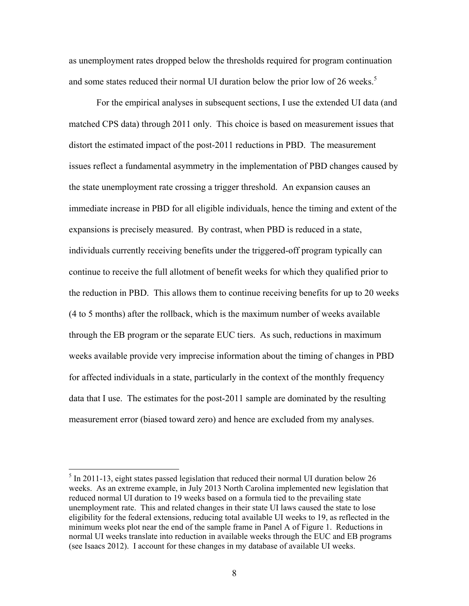as unemployment rates dropped below the thresholds required for program continuation and some states reduced their normal UI duration below the prior low of 26 weeks.<sup>5</sup>

For the empirical analyses in subsequent sections, I use the extended UI data (and matched CPS data) through 2011 only. This choice is based on measurement issues that distort the estimated impact of the post-2011 reductions in PBD. The measurement issues reflect a fundamental asymmetry in the implementation of PBD changes caused by the state unemployment rate crossing a trigger threshold. An expansion causes an immediate increase in PBD for all eligible individuals, hence the timing and extent of the expansions is precisely measured. By contrast, when PBD is reduced in a state, individuals currently receiving benefits under the triggered-off program typically can continue to receive the full allotment of benefit weeks for which they qualified prior to the reduction in PBD. This allows them to continue receiving benefits for up to 20 weeks (4 to 5 months) after the rollback, which is the maximum number of weeks available through the EB program or the separate EUC tiers. As such, reductions in maximum weeks available provide very imprecise information about the timing of changes in PBD for affected individuals in a state, particularly in the context of the monthly frequency data that I use. The estimates for the post-2011 sample are dominated by the resulting measurement error (biased toward zero) and hence are excluded from my analyses.

 $<sup>5</sup>$  In 2011-13, eight states passed legislation that reduced their normal UI duration below 26</sup> weeks. As an extreme example, in July 2013 North Carolina implemented new legislation that reduced normal UI duration to 19 weeks based on a formula tied to the prevailing state unemployment rate. This and related changes in their state UI laws caused the state to lose eligibility for the federal extensions, reducing total available UI weeks to 19, as reflected in the minimum weeks plot near the end of the sample frame in Panel A of Figure 1. Reductions in normal UI weeks translate into reduction in available weeks through the EUC and EB programs (see Isaacs 2012). I account for these changes in my database of available UI weeks.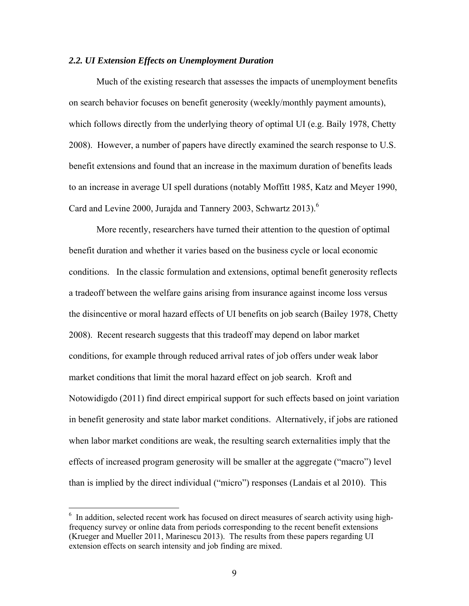#### *2.2. UI Extension Effects on Unemployment Duration*

Much of the existing research that assesses the impacts of unemployment benefits on search behavior focuses on benefit generosity (weekly/monthly payment amounts), which follows directly from the underlying theory of optimal UI (e.g. Baily 1978, Chetty 2008). However, a number of papers have directly examined the search response to U.S. benefit extensions and found that an increase in the maximum duration of benefits leads to an increase in average UI spell durations (notably Moffitt 1985, Katz and Meyer 1990, Card and Levine 2000, Jurajda and Tannery 2003, Schwartz  $2013$ .<sup>6</sup>

More recently, researchers have turned their attention to the question of optimal benefit duration and whether it varies based on the business cycle or local economic conditions. In the classic formulation and extensions, optimal benefit generosity reflects a tradeoff between the welfare gains arising from insurance against income loss versus the disincentive or moral hazard effects of UI benefits on job search (Bailey 1978, Chetty 2008). Recent research suggests that this tradeoff may depend on labor market conditions, for example through reduced arrival rates of job offers under weak labor market conditions that limit the moral hazard effect on job search. Kroft and Notowidigdo (2011) find direct empirical support for such effects based on joint variation in benefit generosity and state labor market conditions. Alternatively, if jobs are rationed when labor market conditions are weak, the resulting search externalities imply that the effects of increased program generosity will be smaller at the aggregate ("macro") level than is implied by the direct individual ("micro") responses (Landais et al 2010). This

<u>.</u>

<sup>&</sup>lt;sup>6</sup> In addition, selected recent work has focused on direct measures of search activity using highfrequency survey or online data from periods corresponding to the recent benefit extensions (Krueger and Mueller 2011, Marinescu 2013). The results from these papers regarding UI extension effects on search intensity and job finding are mixed.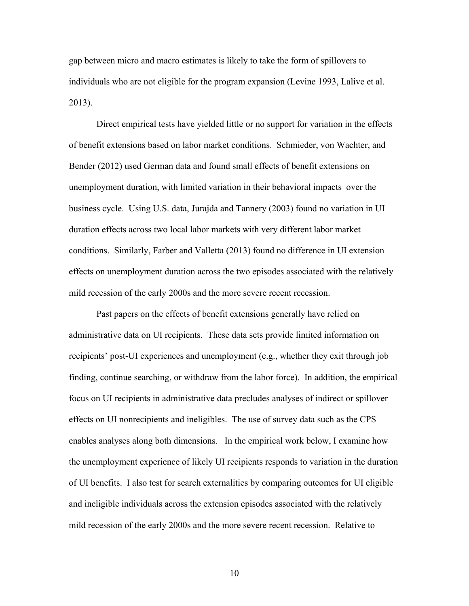gap between micro and macro estimates is likely to take the form of spillovers to individuals who are not eligible for the program expansion (Levine 1993, Lalive et al. 2013).

Direct empirical tests have yielded little or no support for variation in the effects of benefit extensions based on labor market conditions. Schmieder, von Wachter, and Bender (2012) used German data and found small effects of benefit extensions on unemployment duration, with limited variation in their behavioral impacts over the business cycle. Using U.S. data, Jurajda and Tannery (2003) found no variation in UI duration effects across two local labor markets with very different labor market conditions. Similarly, Farber and Valletta (2013) found no difference in UI extension effects on unemployment duration across the two episodes associated with the relatively mild recession of the early 2000s and the more severe recent recession.

Past papers on the effects of benefit extensions generally have relied on administrative data on UI recipients. These data sets provide limited information on recipients' post-UI experiences and unemployment (e.g., whether they exit through job finding, continue searching, or withdraw from the labor force). In addition, the empirical focus on UI recipients in administrative data precludes analyses of indirect or spillover effects on UI nonrecipients and ineligibles. The use of survey data such as the CPS enables analyses along both dimensions. In the empirical work below, I examine how the unemployment experience of likely UI recipients responds to variation in the duration of UI benefits. I also test for search externalities by comparing outcomes for UI eligible and ineligible individuals across the extension episodes associated with the relatively mild recession of the early 2000s and the more severe recent recession. Relative to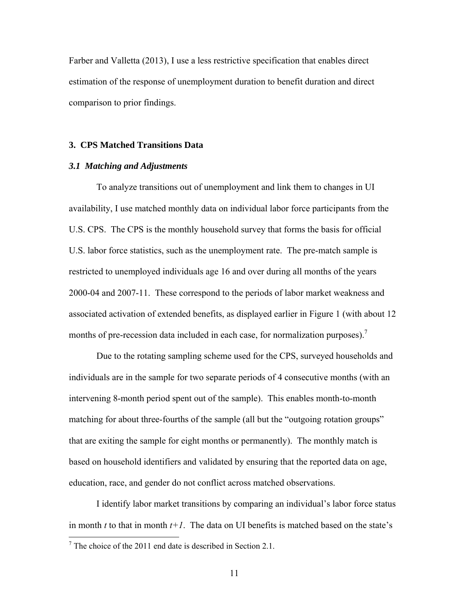Farber and Valletta (2013), I use a less restrictive specification that enables direct estimation of the response of unemployment duration to benefit duration and direct comparison to prior findings.

### **3. CPS Matched Transitions Data**

#### *3.1 Matching and Adjustments*

To analyze transitions out of unemployment and link them to changes in UI availability, I use matched monthly data on individual labor force participants from the U.S. CPS. The CPS is the monthly household survey that forms the basis for official U.S. labor force statistics, such as the unemployment rate. The pre-match sample is restricted to unemployed individuals age 16 and over during all months of the years 2000-04 and 2007-11. These correspond to the periods of labor market weakness and associated activation of extended benefits, as displayed earlier in Figure 1 (with about 12 months of pre-recession data included in each case, for normalization purposes).<sup>7</sup>

Due to the rotating sampling scheme used for the CPS, surveyed households and individuals are in the sample for two separate periods of 4 consecutive months (with an intervening 8-month period spent out of the sample). This enables month-to-month matching for about three-fourths of the sample (all but the "outgoing rotation groups" that are exiting the sample for eight months or permanently). The monthly match is based on household identifiers and validated by ensuring that the reported data on age, education, race, and gender do not conflict across matched observations.

I identify labor market transitions by comparing an individual's labor force status in month *t* to that in month *t+1*. The data on UI benefits is matched based on the state's

<sup>&</sup>lt;sup>7</sup> The choice of the 2011 end date is described in Section 2.1.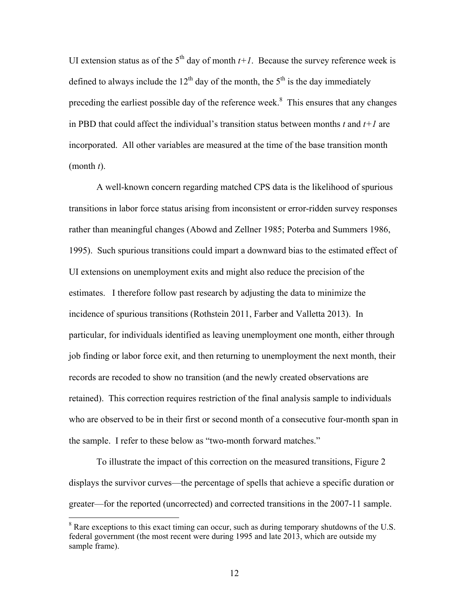UI extension status as of the  $5<sup>th</sup>$  day of month  $t+1$ . Because the survey reference week is defined to always include the  $12<sup>th</sup>$  day of the month, the  $5<sup>th</sup>$  is the day immediately preceding the earliest possible day of the reference week.<sup>8</sup> This ensures that any changes in PBD that could affect the individual's transition status between months *t* and *t+1* are incorporated. All other variables are measured at the time of the base transition month (month *t*).

A well-known concern regarding matched CPS data is the likelihood of spurious transitions in labor force status arising from inconsistent or error-ridden survey responses rather than meaningful changes (Abowd and Zellner 1985; Poterba and Summers 1986, 1995). Such spurious transitions could impart a downward bias to the estimated effect of UI extensions on unemployment exits and might also reduce the precision of the estimates. I therefore follow past research by adjusting the data to minimize the incidence of spurious transitions (Rothstein 2011, Farber and Valletta 2013). In particular, for individuals identified as leaving unemployment one month, either through job finding or labor force exit, and then returning to unemployment the next month, their records are recoded to show no transition (and the newly created observations are retained). This correction requires restriction of the final analysis sample to individuals who are observed to be in their first or second month of a consecutive four-month span in the sample. I refer to these below as "two-month forward matches."

To illustrate the impact of this correction on the measured transitions, Figure 2 displays the survivor curves—the percentage of spells that achieve a specific duration or greater—for the reported (uncorrected) and corrected transitions in the 2007-11 sample.

 $8$  Rare exceptions to this exact timing can occur, such as during temporary shutdowns of the U.S. federal government (the most recent were during 1995 and late 2013, which are outside my sample frame).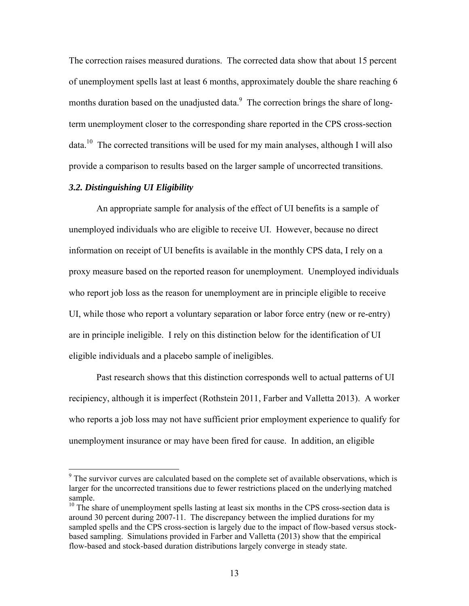The correction raises measured durations. The corrected data show that about 15 percent of unemployment spells last at least 6 months, approximately double the share reaching 6 months duration based on the unadjusted data. $\degree$  The correction brings the share of longterm unemployment closer to the corresponding share reported in the CPS cross-section data.<sup>10</sup> The corrected transitions will be used for my main analyses, although I will also provide a comparison to results based on the larger sample of uncorrected transitions.

# *3.2. Distinguishing UI Eligibility*

1

An appropriate sample for analysis of the effect of UI benefits is a sample of unemployed individuals who are eligible to receive UI. However, because no direct information on receipt of UI benefits is available in the monthly CPS data, I rely on a proxy measure based on the reported reason for unemployment. Unemployed individuals who report job loss as the reason for unemployment are in principle eligible to receive UI, while those who report a voluntary separation or labor force entry (new or re-entry) are in principle ineligible. I rely on this distinction below for the identification of UI eligible individuals and a placebo sample of ineligibles.

Past research shows that this distinction corresponds well to actual patterns of UI recipiency, although it is imperfect (Rothstein 2011, Farber and Valletta 2013). A worker who reports a job loss may not have sufficient prior employment experience to qualify for unemployment insurance or may have been fired for cause. In addition, an eligible

 $9<sup>9</sup>$  The survivor curves are calculated based on the complete set of available observations, which is larger for the uncorrected transitions due to fewer restrictions placed on the underlying matched sample.

<sup>&</sup>lt;sup>10</sup> The share of unemployment spells lasting at least six months in the CPS cross-section data is around 30 percent during 2007-11. The discrepancy between the implied durations for my sampled spells and the CPS cross-section is largely due to the impact of flow-based versus stockbased sampling. Simulations provided in Farber and Valletta (2013) show that the empirical flow-based and stock-based duration distributions largely converge in steady state.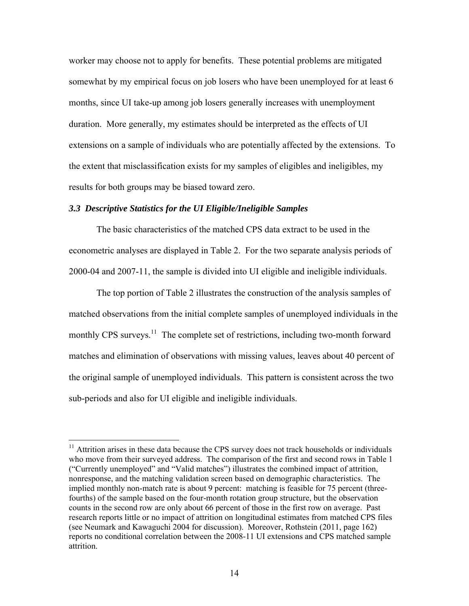worker may choose not to apply for benefits. These potential problems are mitigated somewhat by my empirical focus on job losers who have been unemployed for at least 6 months, since UI take-up among job losers generally increases with unemployment duration. More generally, my estimates should be interpreted as the effects of UI extensions on a sample of individuals who are potentially affected by the extensions. To the extent that misclassification exists for my samples of eligibles and ineligibles, my results for both groups may be biased toward zero.

#### *3.3 Descriptive Statistics for the UI Eligible/Ineligible Samples*

 $\overline{a}$ 

The basic characteristics of the matched CPS data extract to be used in the econometric analyses are displayed in Table 2. For the two separate analysis periods of 2000-04 and 2007-11, the sample is divided into UI eligible and ineligible individuals.

The top portion of Table 2 illustrates the construction of the analysis samples of matched observations from the initial complete samples of unemployed individuals in the monthly CPS surveys.<sup>11</sup> The complete set of restrictions, including two-month forward matches and elimination of observations with missing values, leaves about 40 percent of the original sample of unemployed individuals. This pattern is consistent across the two sub-periods and also for UI eligible and ineligible individuals.

<sup>&</sup>lt;sup>11</sup> Attrition arises in these data because the CPS survey does not track households or individuals who move from their surveyed address. The comparison of the first and second rows in Table 1 ("Currently unemployed" and "Valid matches") illustrates the combined impact of attrition, nonresponse, and the matching validation screen based on demographic characteristics. The implied monthly non-match rate is about 9 percent: matching is feasible for 75 percent (threefourths) of the sample based on the four-month rotation group structure, but the observation counts in the second row are only about 66 percent of those in the first row on average. Past research reports little or no impact of attrition on longitudinal estimates from matched CPS files (see Neumark and Kawaguchi 2004 for discussion). Moreover, Rothstein (2011, page 162) reports no conditional correlation between the 2008-11 UI extensions and CPS matched sample attrition.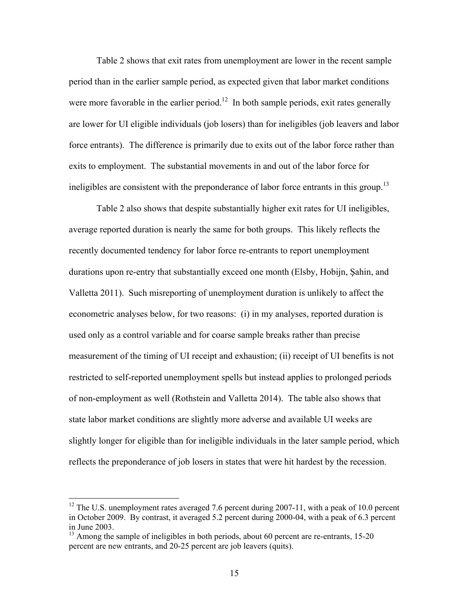Table 2 shows that exit rates from unemployment are lower in the recent sample period than in the earlier sample period, as expected given that labor market conditions were more favorable in the earlier period.<sup>12</sup> In both sample periods, exit rates generally are lower for UI eligible individuals (job losers) than for ineligibles (job leavers and labor force entrants). The difference is primarily due to exits out of the labor force rather than exits to employment. The substantial movements in and out of the labor force for ineligibles are consistent with the preponderance of labor force entrants in this group.<sup>13</sup>

Table 2 also shows that despite substantially higher exit rates for UI ineligibles, average reported duration is nearly the same for both groups. This likely reflects the recently documented tendency for labor force re-entrants to report unemployment durations upon re-entry that substantially exceed one month (Elsby, Hobijn, Şahin, and Valletta 2011). Such misreporting of unemployment duration is unlikely to affect the econometric analyses below, for two reasons: (i) in my analyses, reported duration is used only as a control variable and for coarse sample breaks rather than precise measurement of the timing of UI receipt and exhaustion; (ii) receipt of UI benefits is not restricted to self-reported unemployment spells but instead applies to prolonged periods of non-employment as well (Rothstein and Valletta 2014). The table also shows that state labor market conditions are slightly more adverse and available UI weeks are slightly longer for eligible than for ineligible individuals in the later sample period, which reflects the preponderance of job losers in states that were hit hardest by the recession.

<sup>&</sup>lt;sup>12</sup> The U.S. unemployment rates averaged 7.6 percent during 2007-11, with a peak of 10.0 percent in October 2009. By contrast, it averaged 5.2 percent during 2000-04, with a peak of 6.3 percent in June 2003.

 $13$  Among the sample of ineligibles in both periods, about 60 percent are re-entrants, 15-20 percent are new entrants, and 20-25 percent are job leavers (quits).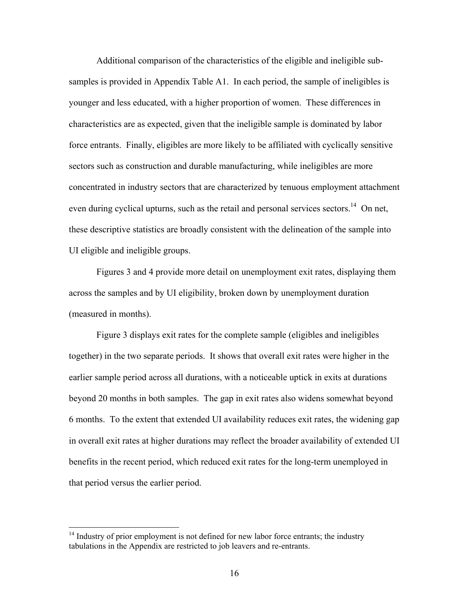Additional comparison of the characteristics of the eligible and ineligible subsamples is provided in Appendix Table A1. In each period, the sample of ineligibles is younger and less educated, with a higher proportion of women. These differences in characteristics are as expected, given that the ineligible sample is dominated by labor force entrants. Finally, eligibles are more likely to be affiliated with cyclically sensitive sectors such as construction and durable manufacturing, while ineligibles are more concentrated in industry sectors that are characterized by tenuous employment attachment even during cyclical upturns, such as the retail and personal services sectors.<sup>14</sup> On net, these descriptive statistics are broadly consistent with the delineation of the sample into UI eligible and ineligible groups.

Figures 3 and 4 provide more detail on unemployment exit rates, displaying them across the samples and by UI eligibility, broken down by unemployment duration (measured in months).

Figure 3 displays exit rates for the complete sample (eligibles and ineligibles together) in the two separate periods. It shows that overall exit rates were higher in the earlier sample period across all durations, with a noticeable uptick in exits at durations beyond 20 months in both samples. The gap in exit rates also widens somewhat beyond 6 months. To the extent that extended UI availability reduces exit rates, the widening gap in overall exit rates at higher durations may reflect the broader availability of extended UI benefits in the recent period, which reduced exit rates for the long-term unemployed in that period versus the earlier period.

 $14$  Industry of prior employment is not defined for new labor force entrants; the industry tabulations in the Appendix are restricted to job leavers and re-entrants.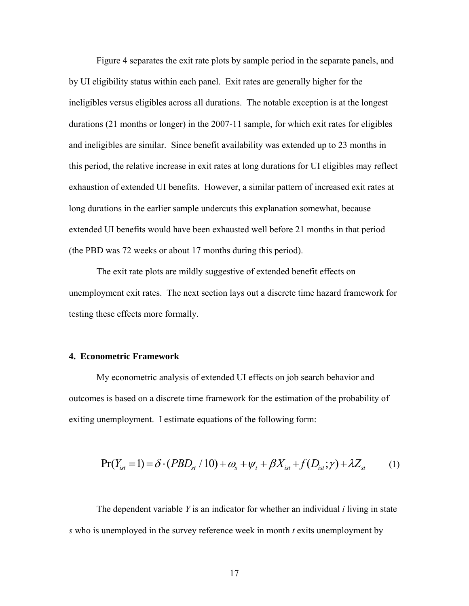Figure 4 separates the exit rate plots by sample period in the separate panels, and by UI eligibility status within each panel. Exit rates are generally higher for the ineligibles versus eligibles across all durations. The notable exception is at the longest durations (21 months or longer) in the 2007-11 sample, for which exit rates for eligibles and ineligibles are similar. Since benefit availability was extended up to 23 months in this period, the relative increase in exit rates at long durations for UI eligibles may reflect exhaustion of extended UI benefits. However, a similar pattern of increased exit rates at long durations in the earlier sample undercuts this explanation somewhat, because extended UI benefits would have been exhausted well before 21 months in that period (the PBD was 72 weeks or about 17 months during this period).

The exit rate plots are mildly suggestive of extended benefit effects on unemployment exit rates. The next section lays out a discrete time hazard framework for testing these effects more formally.

#### **4. Econometric Framework**

My econometric analysis of extended UI effects on job search behavior and outcomes is based on a discrete time framework for the estimation of the probability of exiting unemployment. I estimate equations of the following form:

$$
Pr(Y_{ist} = 1) = \delta \cdot (PBD_{st} / 10) + \omega_s + \psi_t + \beta X_{ist} + f(D_{ist}; \gamma) + \lambda Z_{st}
$$
 (1)

The dependent variable *Y* is an indicator for whether an individual *i* living in state *s* who is unemployed in the survey reference week in month *t* exits unemployment by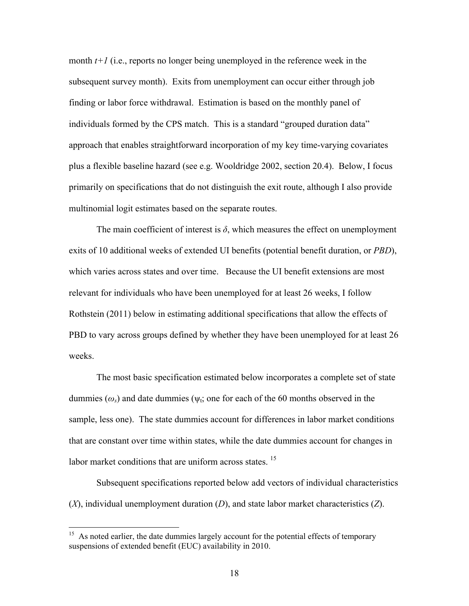month  $t+1$  (i.e., reports no longer being unemployed in the reference week in the subsequent survey month). Exits from unemployment can occur either through job finding or labor force withdrawal. Estimation is based on the monthly panel of individuals formed by the CPS match. This is a standard "grouped duration data" approach that enables straightforward incorporation of my key time-varying covariates plus a flexible baseline hazard (see e.g. Wooldridge 2002, section 20.4). Below, I focus primarily on specifications that do not distinguish the exit route, although I also provide multinomial logit estimates based on the separate routes.

The main coefficient of interest is  $\delta$ , which measures the effect on unemployment exits of 10 additional weeks of extended UI benefits (potential benefit duration, or *PBD*), which varies across states and over time. Because the UI benefit extensions are most relevant for individuals who have been unemployed for at least 26 weeks, I follow Rothstein (2011) below in estimating additional specifications that allow the effects of PBD to vary across groups defined by whether they have been unemployed for at least 26 weeks.

The most basic specification estimated below incorporates a complete set of state dummies  $(\omega_s)$  and date dummies ( $\psi_t$ ; one for each of the 60 months observed in the sample, less one). The state dummies account for differences in labor market conditions that are constant over time within states, while the date dummies account for changes in labor market conditions that are uniform across states.  $15$ 

Subsequent specifications reported below add vectors of individual characteristics (*X*), individual unemployment duration (*D*), and state labor market characteristics (*Z*).

 $15$  As noted earlier, the date dummies largely account for the potential effects of temporary suspensions of extended benefit (EUC) availability in 2010.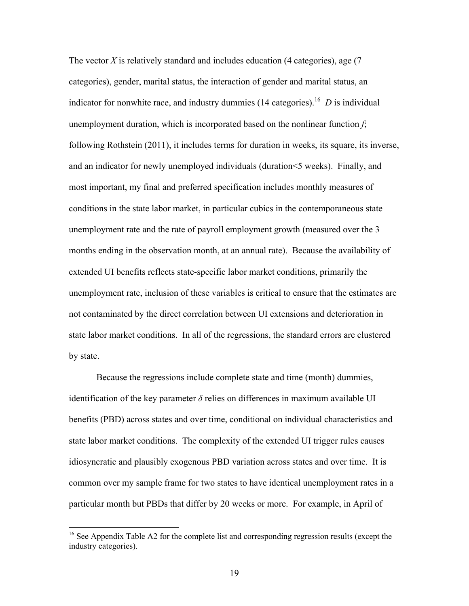The vector *X* is relatively standard and includes education (4 categories), age (7 categories), gender, marital status, the interaction of gender and marital status, an indicator for nonwhite race, and industry dummies  $(14$  categories).<sup>16</sup> *D* is individual unemployment duration, which is incorporated based on the nonlinear function *f*; following Rothstein (2011), it includes terms for duration in weeks, its square, its inverse, and an indicator for newly unemployed individuals (duration<5 weeks). Finally, and most important, my final and preferred specification includes monthly measures of conditions in the state labor market, in particular cubics in the contemporaneous state unemployment rate and the rate of payroll employment growth (measured over the 3 months ending in the observation month, at an annual rate). Because the availability of extended UI benefits reflects state-specific labor market conditions, primarily the unemployment rate, inclusion of these variables is critical to ensure that the estimates are not contaminated by the direct correlation between UI extensions and deterioration in state labor market conditions. In all of the regressions, the standard errors are clustered by state.

Because the regressions include complete state and time (month) dummies, identification of the key parameter  $\delta$  relies on differences in maximum available UI benefits (PBD) across states and over time, conditional on individual characteristics and state labor market conditions. The complexity of the extended UI trigger rules causes idiosyncratic and plausibly exogenous PBD variation across states and over time. It is common over my sample frame for two states to have identical unemployment rates in a particular month but PBDs that differ by 20 weeks or more. For example, in April of

 $16$  See Appendix Table A2 for the complete list and corresponding regression results (except the industry categories).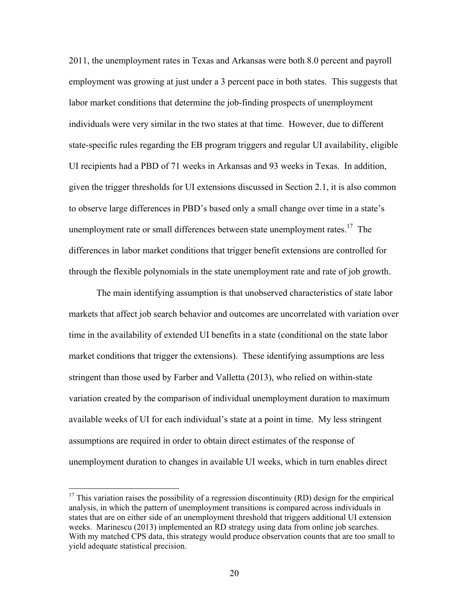2011, the unemployment rates in Texas and Arkansas were both 8.0 percent and payroll employment was growing at just under a 3 percent pace in both states. This suggests that labor market conditions that determine the job-finding prospects of unemployment individuals were very similar in the two states at that time. However, due to different state-specific rules regarding the EB program triggers and regular UI availability, eligible UI recipients had a PBD of 71 weeks in Arkansas and 93 weeks in Texas. In addition, given the trigger thresholds for UI extensions discussed in Section 2.1, it is also common to observe large differences in PBD's based only a small change over time in a state's unemployment rate or small differences between state unemployment rates.<sup>17</sup> The differences in labor market conditions that trigger benefit extensions are controlled for through the flexible polynomials in the state unemployment rate and rate of job growth.

The main identifying assumption is that unobserved characteristics of state labor markets that affect job search behavior and outcomes are uncorrelated with variation over time in the availability of extended UI benefits in a state (conditional on the state labor market conditions that trigger the extensions). These identifying assumptions are less stringent than those used by Farber and Valletta (2013), who relied on within-state variation created by the comparison of individual unemployment duration to maximum available weeks of UI for each individual's state at a point in time. My less stringent assumptions are required in order to obtain direct estimates of the response of unemployment duration to changes in available UI weeks, which in turn enables direct

 $17$  This variation raises the possibility of a regression discontinuity (RD) design for the empirical analysis, in which the pattern of unemployment transitions is compared across individuals in states that are on either side of an unemployment threshold that triggers additional UI extension weeks. Marinescu (2013) implemented an RD strategy using data from online job searches. With my matched CPS data, this strategy would produce observation counts that are too small to yield adequate statistical precision.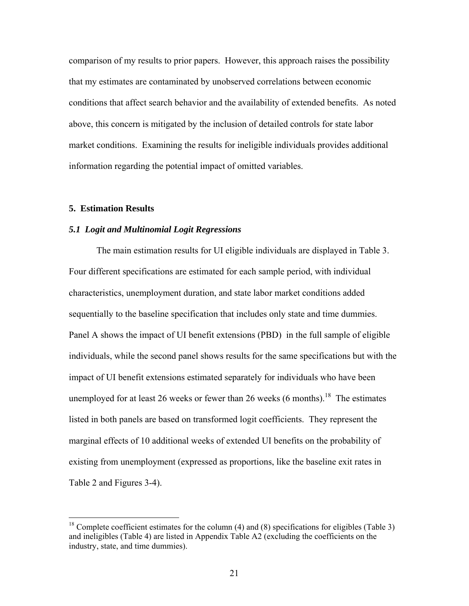comparison of my results to prior papers. However, this approach raises the possibility that my estimates are contaminated by unobserved correlations between economic conditions that affect search behavior and the availability of extended benefits. As noted above, this concern is mitigated by the inclusion of detailed controls for state labor market conditions. Examining the results for ineligible individuals provides additional information regarding the potential impact of omitted variables.

#### **5. Estimation Results**

 $\overline{a}$ 

#### *5.1 Logit and Multinomial Logit Regressions*

The main estimation results for UI eligible individuals are displayed in Table 3. Four different specifications are estimated for each sample period, with individual characteristics, unemployment duration, and state labor market conditions added sequentially to the baseline specification that includes only state and time dummies. Panel A shows the impact of UI benefit extensions (PBD) in the full sample of eligible individuals, while the second panel shows results for the same specifications but with the impact of UI benefit extensions estimated separately for individuals who have been unemployed for at least 26 weeks or fewer than 26 weeks (6 months).<sup>18</sup> The estimates listed in both panels are based on transformed logit coefficients. They represent the marginal effects of 10 additional weeks of extended UI benefits on the probability of existing from unemployment (expressed as proportions, like the baseline exit rates in Table 2 and Figures 3-4).

<sup>&</sup>lt;sup>18</sup> Complete coefficient estimates for the column (4) and (8) specifications for eligibles (Table 3) and ineligibles (Table 4) are listed in Appendix Table A2 (excluding the coefficients on the industry, state, and time dummies).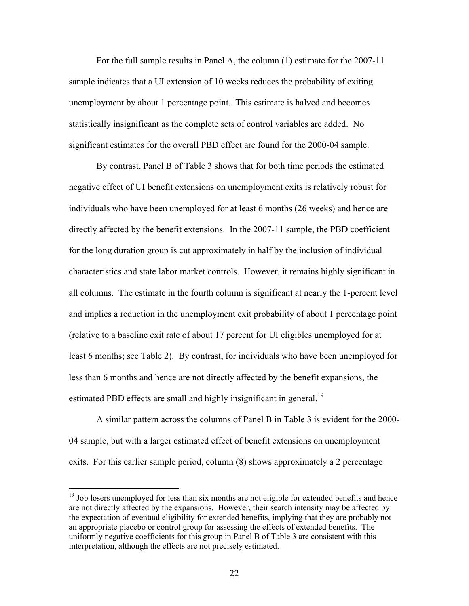For the full sample results in Panel A, the column (1) estimate for the 2007-11 sample indicates that a UI extension of 10 weeks reduces the probability of exiting unemployment by about 1 percentage point. This estimate is halved and becomes statistically insignificant as the complete sets of control variables are added. No significant estimates for the overall PBD effect are found for the 2000-04 sample.

By contrast, Panel B of Table 3 shows that for both time periods the estimated negative effect of UI benefit extensions on unemployment exits is relatively robust for individuals who have been unemployed for at least 6 months (26 weeks) and hence are directly affected by the benefit extensions. In the 2007-11 sample, the PBD coefficient for the long duration group is cut approximately in half by the inclusion of individual characteristics and state labor market controls. However, it remains highly significant in all columns. The estimate in the fourth column is significant at nearly the 1-percent level and implies a reduction in the unemployment exit probability of about 1 percentage point (relative to a baseline exit rate of about 17 percent for UI eligibles unemployed for at least 6 months; see Table 2). By contrast, for individuals who have been unemployed for less than 6 months and hence are not directly affected by the benefit expansions, the estimated PBD effects are small and highly insignificant in general.<sup>19</sup>

A similar pattern across the columns of Panel B in Table 3 is evident for the 2000- 04 sample, but with a larger estimated effect of benefit extensions on unemployment exits. For this earlier sample period, column (8) shows approximately a 2 percentage

 $19$  Job losers unemployed for less than six months are not eligible for extended benefits and hence are not directly affected by the expansions. However, their search intensity may be affected by the expectation of eventual eligibility for extended benefits, implying that they are probably not an appropriate placebo or control group for assessing the effects of extended benefits. The uniformly negative coefficients for this group in Panel B of Table 3 are consistent with this interpretation, although the effects are not precisely estimated.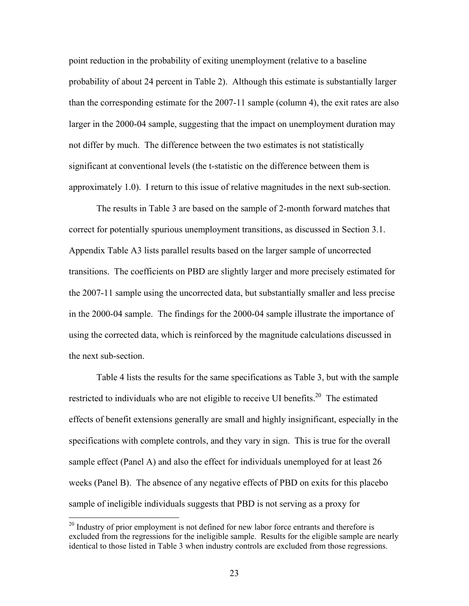point reduction in the probability of exiting unemployment (relative to a baseline probability of about 24 percent in Table 2). Although this estimate is substantially larger than the corresponding estimate for the 2007-11 sample (column 4), the exit rates are also larger in the 2000-04 sample, suggesting that the impact on unemployment duration may not differ by much. The difference between the two estimates is not statistically significant at conventional levels (the t-statistic on the difference between them is approximately 1.0). I return to this issue of relative magnitudes in the next sub-section.

The results in Table 3 are based on the sample of 2-month forward matches that correct for potentially spurious unemployment transitions, as discussed in Section 3.1. Appendix Table A3 lists parallel results based on the larger sample of uncorrected transitions. The coefficients on PBD are slightly larger and more precisely estimated for the 2007-11 sample using the uncorrected data, but substantially smaller and less precise in the 2000-04 sample. The findings for the 2000-04 sample illustrate the importance of using the corrected data, which is reinforced by the magnitude calculations discussed in the next sub-section.

Table 4 lists the results for the same specifications as Table 3, but with the sample restricted to individuals who are not eligible to receive UI benefits.<sup>20</sup> The estimated effects of benefit extensions generally are small and highly insignificant, especially in the specifications with complete controls, and they vary in sign. This is true for the overall sample effect (Panel A) and also the effect for individuals unemployed for at least 26 weeks (Panel B). The absence of any negative effects of PBD on exits for this placebo sample of ineligible individuals suggests that PBD is not serving as a proxy for

 $20$  Industry of prior employment is not defined for new labor force entrants and therefore is excluded from the regressions for the ineligible sample. Results for the eligible sample are nearly identical to those listed in Table 3 when industry controls are excluded from those regressions.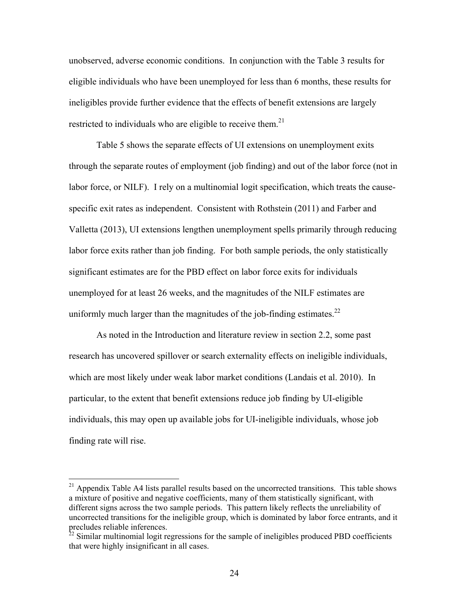unobserved, adverse economic conditions. In conjunction with the Table 3 results for eligible individuals who have been unemployed for less than 6 months, these results for ineligibles provide further evidence that the effects of benefit extensions are largely restricted to individuals who are eligible to receive them.<sup>21</sup>

Table 5 shows the separate effects of UI extensions on unemployment exits through the separate routes of employment (job finding) and out of the labor force (not in labor force, or NILF). I rely on a multinomial logit specification, which treats the causespecific exit rates as independent. Consistent with Rothstein (2011) and Farber and Valletta (2013), UI extensions lengthen unemployment spells primarily through reducing labor force exits rather than job finding. For both sample periods, the only statistically significant estimates are for the PBD effect on labor force exits for individuals unemployed for at least 26 weeks, and the magnitudes of the NILF estimates are uniformly much larger than the magnitudes of the job-finding estimates.<sup>22</sup>

As noted in the Introduction and literature review in section 2.2, some past research has uncovered spillover or search externality effects on ineligible individuals, which are most likely under weak labor market conditions (Landais et al. 2010). In particular, to the extent that benefit extensions reduce job finding by UI-eligible individuals, this may open up available jobs for UI-ineligible individuals, whose job finding rate will rise.

 $^{21}$  Appendix Table A4 lists parallel results based on the uncorrected transitions. This table shows a mixture of positive and negative coefficients, many of them statistically significant, with different signs across the two sample periods. This pattern likely reflects the unreliability of uncorrected transitions for the ineligible group, which is dominated by labor force entrants, and it precludes reliable inferences.

 $22$  Similar multinomial logit regressions for the sample of ineligibles produced PBD coefficients that were highly insignificant in all cases.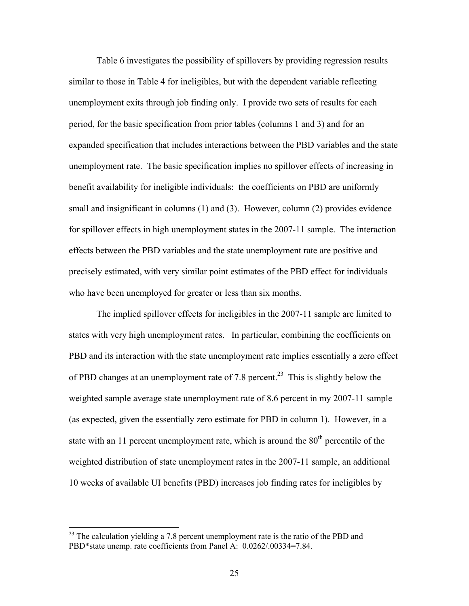Table 6 investigates the possibility of spillovers by providing regression results similar to those in Table 4 for ineligibles, but with the dependent variable reflecting unemployment exits through job finding only. I provide two sets of results for each period, for the basic specification from prior tables (columns 1 and 3) and for an expanded specification that includes interactions between the PBD variables and the state unemployment rate. The basic specification implies no spillover effects of increasing in benefit availability for ineligible individuals: the coefficients on PBD are uniformly small and insignificant in columns (1) and (3). However, column (2) provides evidence for spillover effects in high unemployment states in the 2007-11 sample. The interaction effects between the PBD variables and the state unemployment rate are positive and precisely estimated, with very similar point estimates of the PBD effect for individuals who have been unemployed for greater or less than six months.

The implied spillover effects for ineligibles in the 2007-11 sample are limited to states with very high unemployment rates. In particular, combining the coefficients on PBD and its interaction with the state unemployment rate implies essentially a zero effect of PBD changes at an unemployment rate of 7.8 percent.<sup>23</sup> This is slightly below the weighted sample average state unemployment rate of 8.6 percent in my 2007-11 sample (as expected, given the essentially zero estimate for PBD in column 1). However, in a state with an 11 percent unemployment rate, which is around the  $80<sup>th</sup>$  percentile of the weighted distribution of state unemployment rates in the 2007-11 sample, an additional 10 weeks of available UI benefits (PBD) increases job finding rates for ineligibles by

 $^{23}$  The calculation yielding a 7.8 percent unemployment rate is the ratio of the PBD and PBD\*state unemp. rate coefficients from Panel A: 0.0262/.00334=7.84.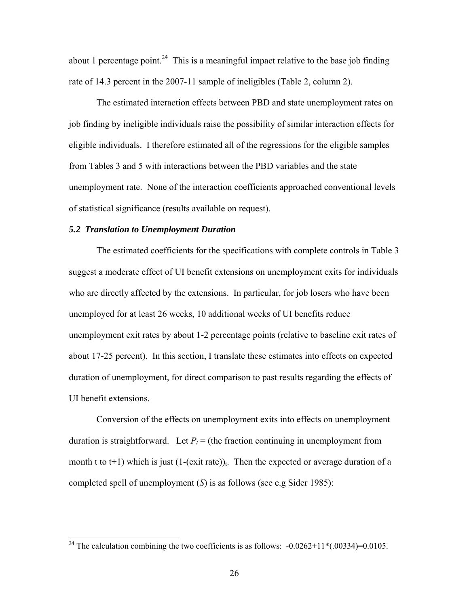about 1 percentage point.<sup>24</sup> This is a meaningful impact relative to the base job finding rate of 14.3 percent in the 2007-11 sample of ineligibles (Table 2, column 2).

The estimated interaction effects between PBD and state unemployment rates on job finding by ineligible individuals raise the possibility of similar interaction effects for eligible individuals. I therefore estimated all of the regressions for the eligible samples from Tables 3 and 5 with interactions between the PBD variables and the state unemployment rate. None of the interaction coefficients approached conventional levels of statistical significance (results available on request).

#### *5.2 Translation to Unemployment Duration*

 $\overline{a}$ 

The estimated coefficients for the specifications with complete controls in Table 3 suggest a moderate effect of UI benefit extensions on unemployment exits for individuals who are directly affected by the extensions. In particular, for job losers who have been unemployed for at least 26 weeks, 10 additional weeks of UI benefits reduce unemployment exit rates by about 1-2 percentage points (relative to baseline exit rates of about 17-25 percent). In this section, I translate these estimates into effects on expected duration of unemployment, for direct comparison to past results regarding the effects of UI benefit extensions.

Conversion of the effects on unemployment exits into effects on unemployment duration is straightforward. Let  $P_t =$  (the fraction continuing in unemployment from month t to t+1) which is just  $(1-(exit rate))_t$ . Then the expected or average duration of a completed spell of unemployment (*S*) is as follows (see e.g Sider 1985):

<sup>&</sup>lt;sup>24</sup> The calculation combining the two coefficients is as follows:  $-0.0262+11*(-00334)=0.0105$ .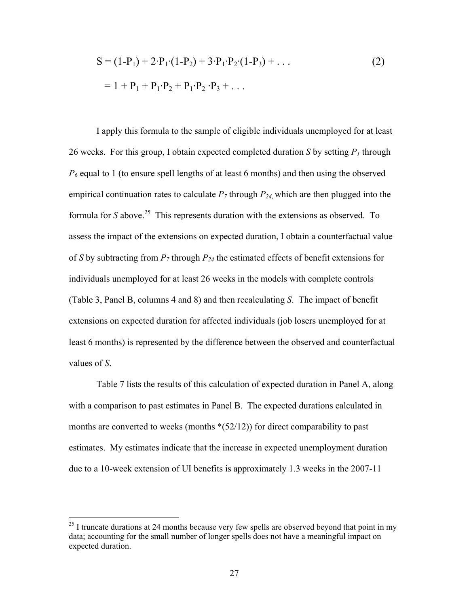$$
S = (1 - P1) + 2 \cdot P1 \cdot (1 - P2) + 3 \cdot P1 \cdot P2 \cdot (1 - P3) + ...
$$
  
= 1 + P<sub>1</sub> + P<sub>1</sub> \cdot P<sub>2</sub> + P<sub>1</sub> \cdot P<sub>2</sub> \cdot P<sub>3</sub> + ... (2)

I apply this formula to the sample of eligible individuals unemployed for at least 26 weeks. For this group, I obtain expected completed duration *S* by setting  $P_1$  through  $P_6$  equal to 1 (to ensure spell lengths of at least 6 months) and then using the observed empirical continuation rates to calculate  $P_7$  through  $P_{24}$ , which are then plugged into the formula for *S* above.<sup>25</sup> This represents duration with the extensions as observed. To assess the impact of the extensions on expected duration, I obtain a counterfactual value of *S* by subtracting from  $P_7$  through  $P_{24}$  the estimated effects of benefit extensions for individuals unemployed for at least 26 weeks in the models with complete controls (Table 3, Panel B, columns 4 and 8) and then recalculating *S*. The impact of benefit extensions on expected duration for affected individuals (job losers unemployed for at least 6 months) is represented by the difference between the observed and counterfactual values of *S*.

Table 7 lists the results of this calculation of expected duration in Panel A, along with a comparison to past estimates in Panel B. The expected durations calculated in months are converted to weeks (months  $*(52/12)$ ) for direct comparability to past estimates. My estimates indicate that the increase in expected unemployment duration due to a 10-week extension of UI benefits is approximately 1.3 weeks in the 2007-11

 $25$  I truncate durations at 24 months because very few spells are observed beyond that point in my data; accounting for the small number of longer spells does not have a meaningful impact on expected duration.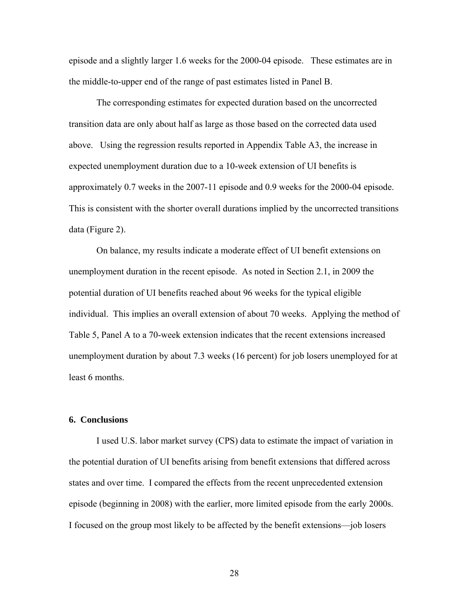episode and a slightly larger 1.6 weeks for the 2000-04 episode. These estimates are in the middle-to-upper end of the range of past estimates listed in Panel B.

The corresponding estimates for expected duration based on the uncorrected transition data are only about half as large as those based on the corrected data used above. Using the regression results reported in Appendix Table A3, the increase in expected unemployment duration due to a 10-week extension of UI benefits is approximately 0.7 weeks in the 2007-11 episode and 0.9 weeks for the 2000-04 episode. This is consistent with the shorter overall durations implied by the uncorrected transitions data (Figure 2).

On balance, my results indicate a moderate effect of UI benefit extensions on unemployment duration in the recent episode. As noted in Section 2.1, in 2009 the potential duration of UI benefits reached about 96 weeks for the typical eligible individual. This implies an overall extension of about 70 weeks. Applying the method of Table 5, Panel A to a 70-week extension indicates that the recent extensions increased unemployment duration by about 7.3 weeks (16 percent) for job losers unemployed for at least 6 months.

#### **6. Conclusions**

I used U.S. labor market survey (CPS) data to estimate the impact of variation in the potential duration of UI benefits arising from benefit extensions that differed across states and over time. I compared the effects from the recent unprecedented extension episode (beginning in 2008) with the earlier, more limited episode from the early 2000s. I focused on the group most likely to be affected by the benefit extensions—job losers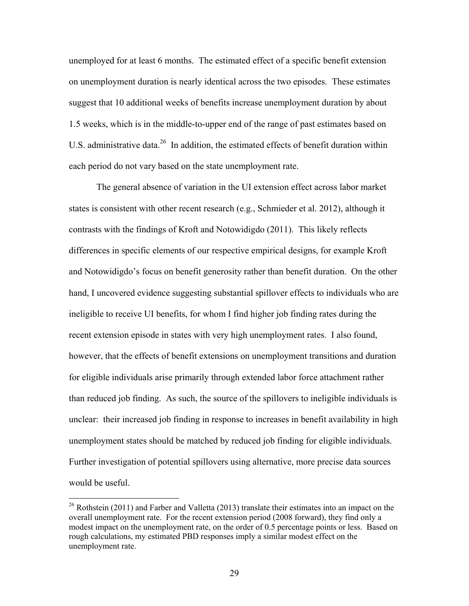unemployed for at least 6 months. The estimated effect of a specific benefit extension on unemployment duration is nearly identical across the two episodes. These estimates suggest that 10 additional weeks of benefits increase unemployment duration by about 1.5 weeks, which is in the middle-to-upper end of the range of past estimates based on U.S. administrative data.<sup>26</sup> In addition, the estimated effects of benefit duration within each period do not vary based on the state unemployment rate.

The general absence of variation in the UI extension effect across labor market states is consistent with other recent research (e.g., Schmieder et al. 2012), although it contrasts with the findings of Kroft and Notowidigdo (2011). This likely reflects differences in specific elements of our respective empirical designs, for example Kroft and Notowidigdo's focus on benefit generosity rather than benefit duration. On the other hand, I uncovered evidence suggesting substantial spillover effects to individuals who are ineligible to receive UI benefits, for whom I find higher job finding rates during the recent extension episode in states with very high unemployment rates. I also found, however, that the effects of benefit extensions on unemployment transitions and duration for eligible individuals arise primarily through extended labor force attachment rather than reduced job finding. As such, the source of the spillovers to ineligible individuals is unclear: their increased job finding in response to increases in benefit availability in high unemployment states should be matched by reduced job finding for eligible individuals. Further investigation of potential spillovers using alternative, more precise data sources would be useful.

<sup>&</sup>lt;sup>26</sup> Rothstein (2011) and Farber and Valletta (2013) translate their estimates into an impact on the overall unemployment rate. For the recent extension period (2008 forward), they find only a modest impact on the unemployment rate, on the order of 0.5 percentage points or less. Based on rough calculations, my estimated PBD responses imply a similar modest effect on the unemployment rate.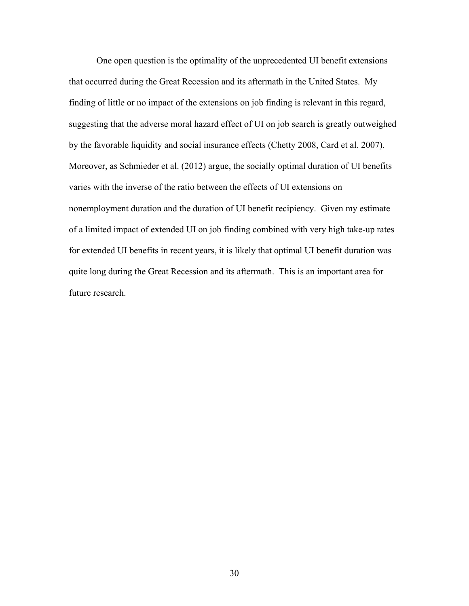One open question is the optimality of the unprecedented UI benefit extensions that occurred during the Great Recession and its aftermath in the United States. My finding of little or no impact of the extensions on job finding is relevant in this regard, suggesting that the adverse moral hazard effect of UI on job search is greatly outweighed by the favorable liquidity and social insurance effects (Chetty 2008, Card et al. 2007). Moreover, as Schmieder et al. (2012) argue, the socially optimal duration of UI benefits varies with the inverse of the ratio between the effects of UI extensions on nonemployment duration and the duration of UI benefit recipiency. Given my estimate of a limited impact of extended UI on job finding combined with very high take-up rates for extended UI benefits in recent years, it is likely that optimal UI benefit duration was quite long during the Great Recession and its aftermath. This is an important area for future research.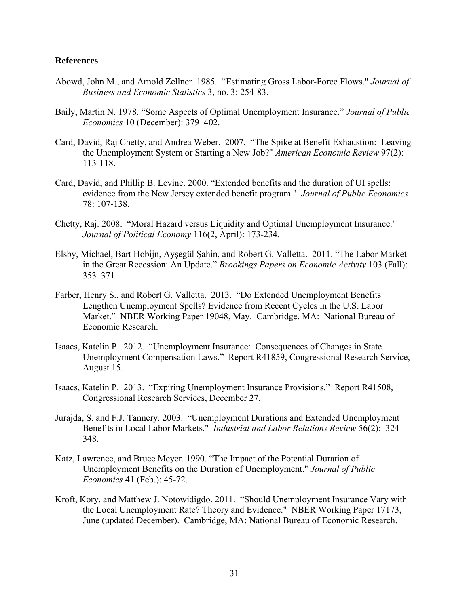#### **References**

- Abowd, John M., and Arnold Zellner. 1985. "Estimating Gross Labor-Force Flows." *Journal of Business and Economic Statistics* 3, no. 3: 254-83.
- Baily, Martin N. 1978. "Some Aspects of Optimal Unemployment Insurance." *Journal of Public Economics* 10 (December): 379–402.
- Card, David, Raj Chetty, and Andrea Weber. 2007. "The Spike at Benefit Exhaustion: Leaving the Unemployment System or Starting a New Job?" *American Economic Review* 97(2): 113-118.
- Card, David, and Phillip B. Levine. 2000. "Extended benefits and the duration of UI spells: evidence from the New Jersey extended benefit program." *Journal of Public Economics* 78: 107-138.
- Chetty, Raj. 2008. "Moral Hazard versus Liquidity and Optimal Unemployment Insurance." *Journal of Political Economy* 116(2, April): 173-234.
- Elsby, Michael, Bart Hobijn, Ayşegül Şahin, and Robert G. Valletta. 2011. "The Labor Market in the Great Recession: An Update." *Brookings Papers on Economic Activity* 103 (Fall): 353–371.
- Farber, Henry S., and Robert G. Valletta. 2013. "Do Extended Unemployment Benefits Lengthen Unemployment Spells? Evidence from Recent Cycles in the U.S. Labor Market." NBER Working Paper 19048, May. Cambridge, MA: National Bureau of Economic Research.
- Isaacs, Katelin P. 2012. "Unemployment Insurance: Consequences of Changes in State Unemployment Compensation Laws." Report R41859, Congressional Research Service, August 15.
- Isaacs, Katelin P. 2013. "Expiring Unemployment Insurance Provisions." Report R41508, Congressional Research Services, December 27.
- Jurajda, S. and F.J. Tannery. 2003. "Unemployment Durations and Extended Unemployment Benefits in Local Labor Markets." *Industrial and Labor Relations Review* 56(2): 324- 348.
- Katz, Lawrence, and Bruce Meyer. 1990. "The Impact of the Potential Duration of Unemployment Benefits on the Duration of Unemployment." *Journal of Public Economics* 41 (Feb.): 45-72.
- Kroft, Kory, and Matthew J. Notowidigdo. 2011. "Should Unemployment Insurance Vary with the Local Unemployment Rate? Theory and Evidence." NBER Working Paper 17173, June (updated December). Cambridge, MA: National Bureau of Economic Research.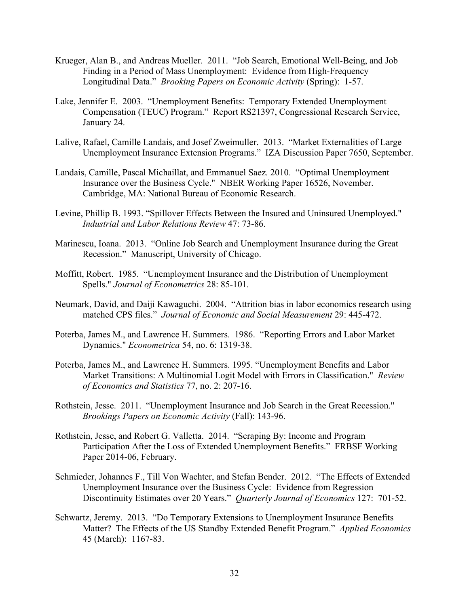- Krueger, Alan B., and Andreas Mueller. 2011. "Job Search, Emotional Well-Being, and Job Finding in a Period of Mass Unemployment: Evidence from High-Frequency Longitudinal Data." *Brooking Papers on Economic Activity* (Spring): 1-57.
- Lake, Jennifer E. 2003. "Unemployment Benefits: Temporary Extended Unemployment Compensation (TEUC) Program." Report RS21397, Congressional Research Service, January 24.
- Lalive, Rafael, Camille Landais, and Josef Zweimuller. 2013. "Market Externalities of Large Unemployment Insurance Extension Programs." IZA Discussion Paper 7650, September.
- Landais, Camille, Pascal Michaillat, and Emmanuel Saez. 2010. "Optimal Unemployment Insurance over the Business Cycle." NBER Working Paper 16526, November. Cambridge, MA: National Bureau of Economic Research.
- Levine, Phillip B. 1993. "Spillover Effects Between the Insured and Uninsured Unemployed." *Industrial and Labor Relations Review* 47: 73-86.
- Marinescu, Ioana. 2013. "Online Job Search and Unemployment Insurance during the Great Recession." Manuscript, University of Chicago.
- Moffitt, Robert. 1985. "Unemployment Insurance and the Distribution of Unemployment Spells." *Journal of Econometrics* 28: 85-101.
- Neumark, David, and Daiji Kawaguchi. 2004. "Attrition bias in labor economics research using matched CPS files." *Journal of Economic and Social Measurement* 29: 445-472.
- Poterba, James M., and Lawrence H. Summers. 1986. "Reporting Errors and Labor Market Dynamics." *Econometrica* 54, no. 6: 1319-38.
- Poterba, James M., and Lawrence H. Summers. 1995. "Unemployment Benefits and Labor Market Transitions: A Multinomial Logit Model with Errors in Classification." *Review of Economics and Statistics* 77, no. 2: 207-16.
- Rothstein, Jesse. 2011. "Unemployment Insurance and Job Search in the Great Recession." *Brookings Papers on Economic Activity* (Fall): 143-96.
- Rothstein, Jesse, and Robert G. Valletta. 2014. "Scraping By: Income and Program Participation After the Loss of Extended Unemployment Benefits." FRBSF Working Paper 2014-06, February.
- Schmieder, Johannes F., Till Von Wachter, and Stefan Bender. 2012. "The Effects of Extended Unemployment Insurance over the Business Cycle: Evidence from Regression Discontinuity Estimates over 20 Years." *Quarterly Journal of Economics* 127: 701-52.
- Schwartz, Jeremy. 2013. "Do Temporary Extensions to Unemployment Insurance Benefits Matter? The Effects of the US Standby Extended Benefit Program." *Applied Economics* 45 (March): 1167-83.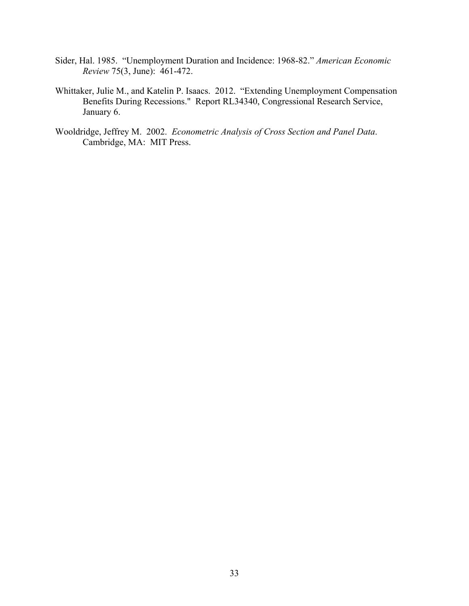- Sider, Hal. 1985. "Unemployment Duration and Incidence: 1968-82." *American Economic Review* 75(3, June): 461-472.
- Whittaker, Julie M., and Katelin P. Isaacs. 2012. "Extending Unemployment Compensation Benefits During Recessions." Report RL34340, Congressional Research Service, January 6.
- Wooldridge, Jeffrey M. 2002. *Econometric Analysis of Cross Section and Panel Data*. Cambridge, MA: MIT Press.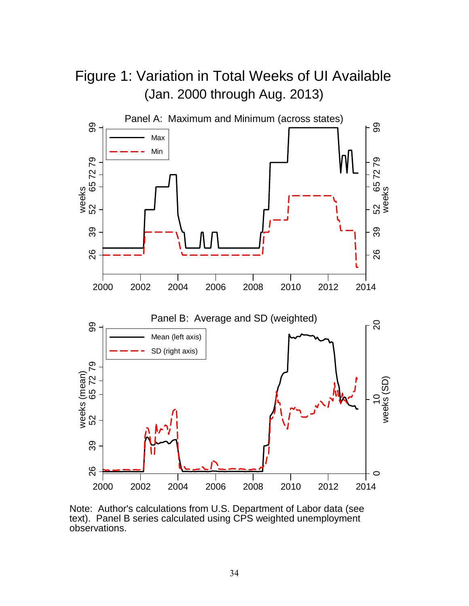

text). Panel B series calculated using CPS weighted unemployment observations.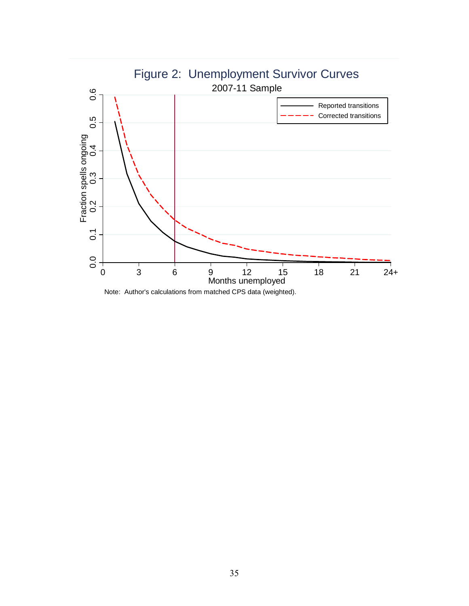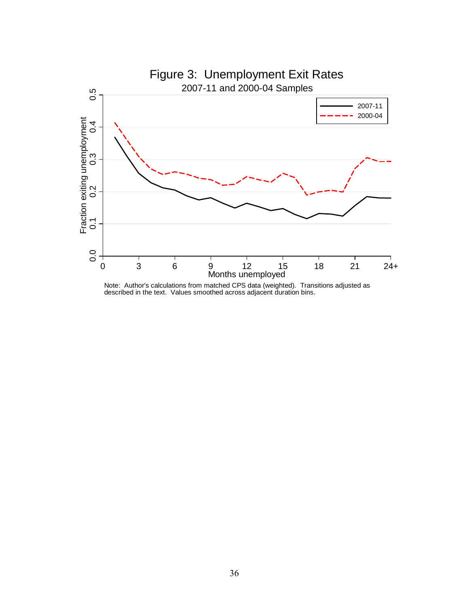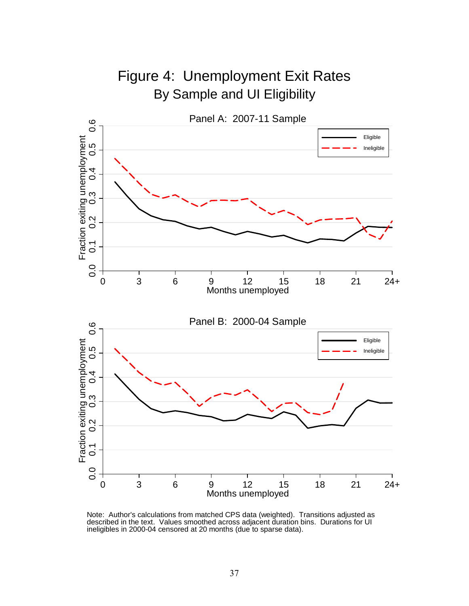

Note: Author's calculations from matched CPS data (weighted). Transitions adjusted as described in the text. Values smoothed across adjacent duration bins. Durations for UI ineligibles in 2000-04 censored at 20 months (due to sparse data).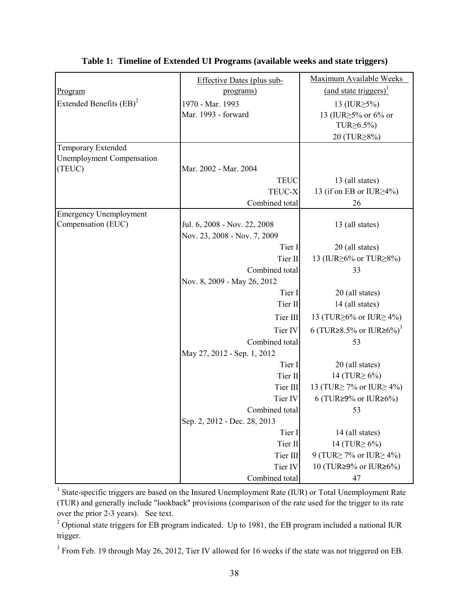|                                  | <b>Effective Dates (plus sub-</b> | Maximum Available Weeks             |
|----------------------------------|-----------------------------------|-------------------------------------|
| Program                          | programs)                         | (and state triggers) <sup>1</sup>   |
| Extended Benefits $(BB)^2$       | 1970 - Mar. 1993                  | 13 (IUR $\geq$ 5%)                  |
|                                  | Mar. 1993 - forward               | 13 (IUR≥5% or 6% or                 |
|                                  |                                   | TUR <sub>26.5%</sub>                |
|                                  |                                   | 20 (TUR≥8%)                         |
| <b>Temporary Extended</b>        |                                   |                                     |
| <b>Unemployment Compensation</b> |                                   |                                     |
| (TEUC)                           | Mar. 2002 - Mar. 2004             |                                     |
|                                  | <b>TEUC</b>                       | 13 (all states)                     |
|                                  | TEUC-X                            | 13 (if on EB or IUR $\geq$ 4%)      |
|                                  | Combined total                    | 26                                  |
| <b>Emergency Unemployment</b>    |                                   |                                     |
| Compensation (EUC)               | Jul. 6, 2008 - Nov. 22, 2008      | 13 (all states)                     |
|                                  | Nov. 23, 2008 - Nov. 7, 2009      |                                     |
|                                  | Tier I                            | 20 (all states)                     |
|                                  | Tier II                           | 13 (IUR  go 6% or TUR  set 28%)     |
|                                  | Combined total                    | 33                                  |
|                                  | Nov. 8, 2009 - May 26, 2012       |                                     |
|                                  | Tier I                            | 20 (all states)                     |
|                                  | Tier II                           | 14 (all states)                     |
|                                  | Tier III                          | 13 (TUR $\geq$ 6% or IUR $\geq$ 4%) |
|                                  | Tier IV                           | 6 (TUR≥8.5% or IUR≥6%) <sup>3</sup> |
|                                  | Combined total                    | 53                                  |
|                                  | May 27, 2012 - Sep. 1, 2012       |                                     |
|                                  | Tier I                            | 20 (all states)                     |
|                                  | Tier II                           | 14 (TUR $\geq 6\%$ )                |
|                                  | Tier III                          | 13 (TUR $\geq$ 7% or IUR $\geq$ 4%) |
|                                  | Tier IV                           | 6 (TUR $\geq$ 9% or IUR $\geq$ 6%)  |
|                                  | Combined total                    | 53                                  |
|                                  | Sep. 2, 2012 - Dec. 28, 2013      |                                     |
|                                  | Tier I                            | 14 (all states)                     |
|                                  | Tier II                           | 14 (TUR $\geq 6\%$ )                |
|                                  | Tier III                          | 9 (TUR $\geq$ 7% or IUR $\geq$ 4%)  |
|                                  | Tier IV                           | 10 (TUR≥9% or IUR≥6%)               |
|                                  | Combined total                    | 47                                  |

**Table 1: Timeline of Extended UI Programs (available weeks and state triggers)**

<sup>1</sup> State-specific triggers are based on the Insured Unemployment Rate (IUR) or Total Unemployment Rate (TUR) and generally include "lookback" provisions (comparison of the rate used for the trigger to its rate over the prior 2-3 years). See text.

<sup>2</sup> Optional state triggers for EB program indicated. Up to 1981, the EB program included a national IUR trigger.

 $3$  From Feb. 19 through May 26, 2012, Tier IV allowed for 16 weeks if the state was not triggered on EB.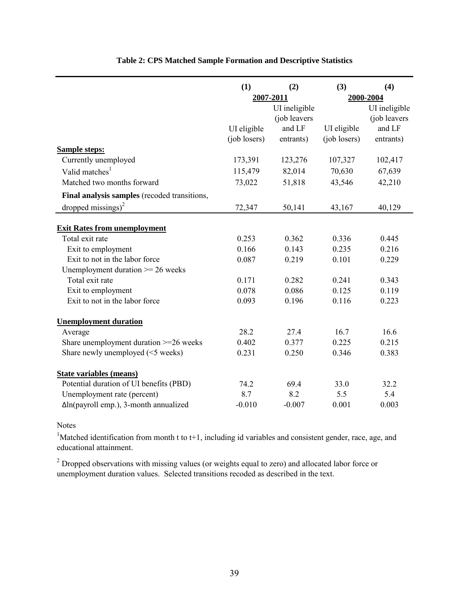|                                               | (1)          | (3)<br>(2)    |              | (4)           |
|-----------------------------------------------|--------------|---------------|--------------|---------------|
|                                               |              | 2007-2011     |              | 2000-2004     |
|                                               |              | UI ineligible |              | UI ineligible |
|                                               |              | (job leavers  |              | (job leavers  |
|                                               | UI eligible  | and LF        | UI eligible  | and LF        |
|                                               | (job losers) | entrants)     | (job losers) | entrants)     |
| <b>Sample steps:</b>                          |              |               |              |               |
| Currently unemployed                          | 173,391      | 123,276       | 107,327      | 102,417       |
| Valid matches <sup>1</sup>                    | 115,479      | 82,014        | 70,630       | 67,639        |
| Matched two months forward                    | 73,022       | 51,818        | 43,546       | 42,210        |
| Final analysis samples (recoded transitions,  |              |               |              |               |
| dropped missings) $^{2}$                      | 72,347       | 50,141        | 43,167       | 40,129        |
| <b>Exit Rates from unemployment</b>           |              |               |              |               |
| Total exit rate                               | 0.253        | 0.362         | 0.336        | 0.445         |
| Exit to employment                            | 0.166        | 0.143         | 0.235        | 0.216         |
| Exit to not in the labor force                | 0.087        | 0.219         | 0.101        | 0.229         |
| Unemployment duration $\geq$ 26 weeks         |              |               |              |               |
| Total exit rate                               | 0.171        | 0.282         | 0.241        | 0.343         |
| Exit to employment                            | 0.078        | 0.086         | 0.125        | 0.119         |
| Exit to not in the labor force                | 0.093        | 0.196         | 0.116        | 0.223         |
| <b>Unemployment duration</b>                  |              |               |              |               |
| Average                                       | 28.2         | 27.4          | 16.7         | 16.6          |
| Share unemployment duration $>=$ 26 weeks     | 0.402        | 0.377         | 0.225        | 0.215         |
| Share newly unemployed (<5 weeks)             | 0.231        | 0.250         | 0.346        | 0.383         |
| <b>State variables (means)</b>                |              |               |              |               |
| Potential duration of UI benefits (PBD)       | 74.2         | 69.4          | 33.0         | 32.2          |
| Unemployment rate (percent)                   | 8.7          | 8.2           | 5.5          | 5.4           |
| $\Delta$ ln(payroll emp.), 3-month annualized | $-0.010$     | $-0.007$      | 0.001        | 0.003         |

# **Table 2: CPS Matched Sample Formation and Descriptive Statistics**

Notes

<sup>1</sup>Matched identification from month t to t+1, including id variables and consistent gender, race, age, and educational attainment.

 $2^{2}$  Dropped observations with missing values (or weights equal to zero) and allocated labor force or unemployment duration values. Selected transitions recoded as described in the text.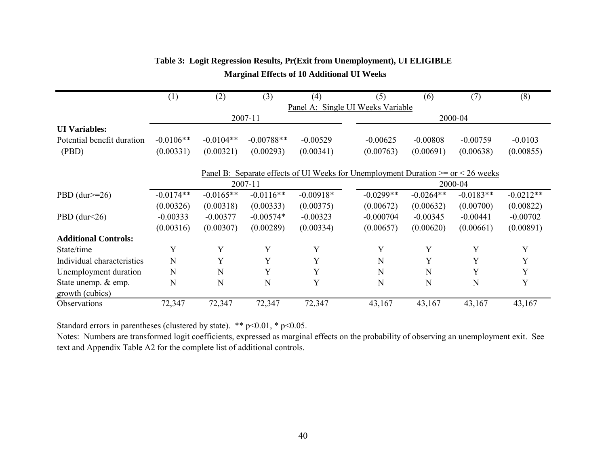|                                        | (1)                               | (2)         | (3)                                                                                    | (4)         |  | (5)         | (6)         | (7)         | (8)         |
|----------------------------------------|-----------------------------------|-------------|----------------------------------------------------------------------------------------|-------------|--|-------------|-------------|-------------|-------------|
|                                        | Panel A: Single UI Weeks Variable |             |                                                                                        |             |  |             |             |             |             |
|                                        |                                   |             | 2007-11                                                                                |             |  |             |             | 2000-04     |             |
| <b>UI</b> Variables:                   |                                   |             |                                                                                        |             |  |             |             |             |             |
| Potential benefit duration             | $-0.0106**$                       | $-0.0104**$ | $-0.00788**$                                                                           | $-0.00529$  |  | $-0.00625$  | $-0.00808$  | $-0.00759$  | $-0.0103$   |
| (PBD)                                  | (0.00331)                         | (0.00321)   | (0.00293)                                                                              | (0.00341)   |  | (0.00763)   | (0.00691)   | (0.00638)   | (0.00855)   |
|                                        |                                   |             | Panel B: Separate effects of UI Weeks for Unemployment Duration $>=$ or $\lt 26$ weeks |             |  |             |             |             |             |
|                                        |                                   |             | 2007-11                                                                                |             |  |             |             | 2000-04     |             |
| PBD $(dur>=26)$                        | $-0.0174**$                       | $-0.0165**$ | $-0.0116**$                                                                            | $-0.00918*$ |  | $-0.0299**$ | $-0.0264**$ | $-0.0183**$ | $-0.0212**$ |
|                                        | (0.00326)                         | (0.00318)   | (0.00333)                                                                              | (0.00375)   |  | (0.00672)   | (0.00632)   | (0.00700)   | (0.00822)   |
| PBD $(dur<26)$                         | $-0.00333$                        | $-0.00377$  | $-0.00574*$                                                                            | $-0.00323$  |  | $-0.000704$ | $-0.00345$  | $-0.00441$  | $-0.00702$  |
|                                        | (0.00316)                         | (0.00307)   | (0.00289)                                                                              | (0.00334)   |  | (0.00657)   | (0.00620)   | (0.00661)   | (0.00891)   |
| <b>Additional Controls:</b>            |                                   |             |                                                                                        |             |  |             |             |             |             |
| State/time                             | Y                                 | Y           | Y                                                                                      | Y           |  | Y           | Y           | Y           | Y           |
| Individual characteristics             | N                                 | Y           | Y                                                                                      | Y           |  | N           | Y           | Y           | Y           |
| Unemployment duration                  | N                                 | N           | Y                                                                                      | Y           |  | N           | N           | Y           | Y           |
| State unemp. & emp.<br>growth (cubics) | N                                 | N           | $\mathbf N$                                                                            | Y           |  | N           | N           | N           | Y           |
| Observations                           | 72,347                            | 72,347      | 72,347                                                                                 | 72,347      |  | 43,167      | 43,167      | 43,167      | 43,167      |

# **Table 3: Logit Regression Results, Pr(Exit from Unemployment), UI ELIGIBLE Marginal Effects of 10 Additional UI Weeks**

Standard errors in parentheses (clustered by state). \*\* p<0.01, \* p<0.05.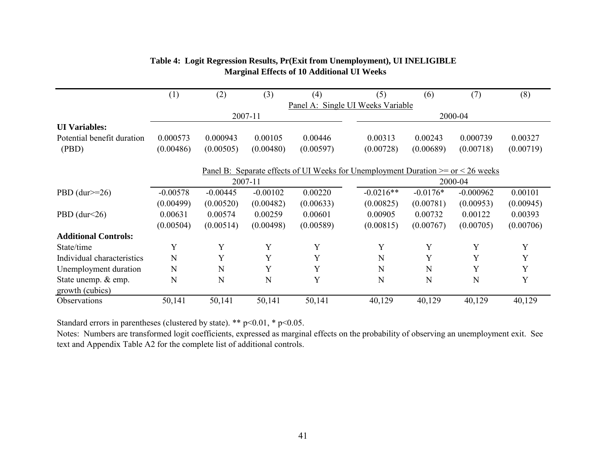|                                        | (1)                                                                                    | (2)                               | (3)        | (4)       | (5)         | (6)        | (7)         | (8)       |
|----------------------------------------|----------------------------------------------------------------------------------------|-----------------------------------|------------|-----------|-------------|------------|-------------|-----------|
|                                        |                                                                                        | Panel A: Single UI Weeks Variable |            |           |             |            |             |           |
|                                        |                                                                                        |                                   | 2007-11    |           |             |            | 2000-04     |           |
| <b>UI</b> Variables:                   |                                                                                        |                                   |            |           |             |            |             |           |
| Potential benefit duration             | 0.000573                                                                               | 0.000943                          | 0.00105    | 0.00446   | 0.00313     | 0.00243    | 0.000739    | 0.00327   |
| (PBD)                                  | (0.00486)                                                                              | (0.00505)                         | (0.00480)  | (0.00597) | (0.00728)   | (0.00689)  | (0.00718)   | (0.00719) |
|                                        | Panel B: Separate effects of UI Weeks for Unemployment Duration $>=$ or $\lt 26$ weeks |                                   |            |           |             |            |             |           |
|                                        |                                                                                        |                                   | 2007-11    |           |             |            | 2000-04     |           |
| PBD $(dw>=26)$                         | $-0.00578$                                                                             | $-0.00445$                        | $-0.00102$ | 0.00220   | $-0.0216**$ | $-0.0176*$ | $-0.000962$ | 0.00101   |
|                                        | (0.00499)                                                                              | (0.00520)                         | (0.00482)  | (0.00633) | (0.00825)   | (0.00781)  | (0.00953)   | (0.00945) |
| PBD $(dur<26)$                         | 0.00631                                                                                | 0.00574                           | 0.00259    | 0.00601   | 0.00905     | 0.00732    | 0.00122     | 0.00393   |
|                                        | (0.00504)                                                                              | (0.00514)                         | (0.00498)  | (0.00589) | (0.00815)   | (0.00767)  | (0.00705)   | (0.00706) |
| <b>Additional Controls:</b>            |                                                                                        |                                   |            |           |             |            |             |           |
| State/time                             | Y                                                                                      | Y                                 | Y          | Y         | Y           | Y          | Y           | Y         |
| Individual characteristics             | N                                                                                      | Y                                 | Y          | Y         | N           | Y          | Y           | Y         |
| Unemployment duration                  | N                                                                                      | N                                 | Y          | Y         | N           | N          | Y           | Y         |
| State unemp. & emp.<br>growth (cubics) | N                                                                                      | N                                 | N          | Y         | N           | N          | N           | Y         |
| Observations                           | 50,141                                                                                 | 50,141                            | 50,141     | 50,141    | 40,129      | 40,129     | 40,129      | 40,129    |

# **Table 4: Logit Regression Results, Pr(Exit from Unemployment), UI INELIGIBLE Marginal Effects of 10 Additional UI Weeks**

Standard errors in parentheses (clustered by state). \*\* p<0.01, \* p<0.05.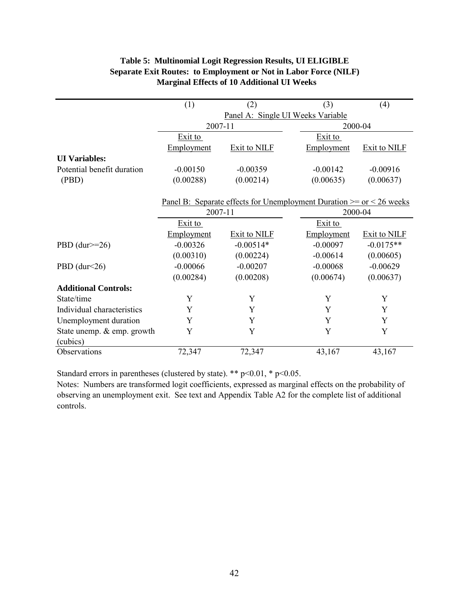| <b>Table 5: Multinomial Logit Regression Results, UI ELIGIBLE</b>       |
|-------------------------------------------------------------------------|
| <b>Separate Exit Routes: to Employment or Not in Labor Force (NILF)</b> |
| <b>Marginal Effects of 10 Additional UI Weeks</b>                       |

| (1)        | (2)                 | (3)                | (4)                                                                                                                                        |
|------------|---------------------|--------------------|--------------------------------------------------------------------------------------------------------------------------------------------|
|            |                     |                    |                                                                                                                                            |
|            |                     |                    |                                                                                                                                            |
| Exit to    |                     | Exit to            |                                                                                                                                            |
| Employment | <b>Exit to NILF</b> | Employment         | <b>Exit to NILF</b>                                                                                                                        |
|            |                     |                    |                                                                                                                                            |
| $-0.00150$ | $-0.00359$          | $-0.00142$         | $-0.00916$                                                                                                                                 |
| (0.00288)  | (0.00214)           | (0.00635)          | (0.00637)                                                                                                                                  |
|            |                     |                    |                                                                                                                                            |
|            |                     |                    |                                                                                                                                            |
|            |                     |                    |                                                                                                                                            |
| Exit to    |                     | Exit to            |                                                                                                                                            |
| Employment | Exit to NILF        | Employment         | Exit to NILF                                                                                                                               |
| $-0.00326$ | $-0.00514*$         | $-0.00097$         | $-0.0175**$                                                                                                                                |
| (0.00310)  | (0.00224)           | $-0.00614$         | (0.00605)                                                                                                                                  |
| $-0.00066$ | $-0.00207$          | $-0.00068$         | $-0.00629$                                                                                                                                 |
| (0.00284)  | (0.00208)           | (0.00674)          | (0.00637)                                                                                                                                  |
|            |                     |                    |                                                                                                                                            |
| Y          | Y                   | Y                  | Y                                                                                                                                          |
| Y          | Y                   | Y                  | Y                                                                                                                                          |
| Y          | Y                   | Y                  | Y                                                                                                                                          |
| Y          | Y                   | Y                  | Y                                                                                                                                          |
|            |                     |                    |                                                                                                                                            |
| 72,347     | 72,347              | 43,167             | 43,167                                                                                                                                     |
|            |                     | 2007-11<br>2007-11 | Panel A: Single UI Weeks Variable<br>2000-04<br><u>Panel B:</u> Separate effects for Unemployment Duration $>=$ or $<$ 26 weeks<br>2000-04 |

Standard errors in parentheses (clustered by state). \*\* p<0.01, \* p<0.05.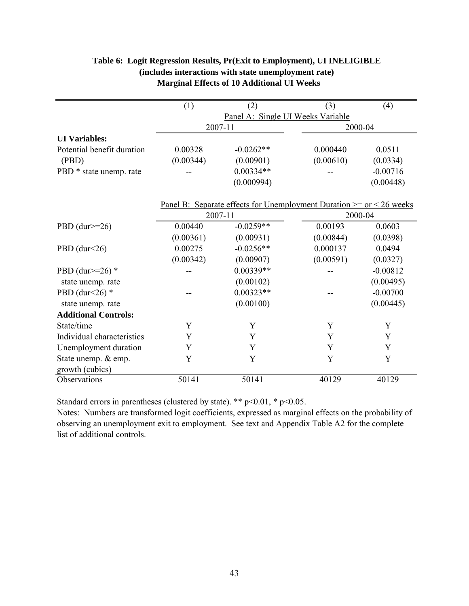# **Table 6: Logit Regression Results, Pr(Exit to Employment), UI INELIGIBLE (includes interactions with state unemployment rate) Marginal Effects of 10 Additional UI Weeks**

|                             | (1)       | (2)                                                                                                        | (3)       | (4)        |
|-----------------------------|-----------|------------------------------------------------------------------------------------------------------------|-----------|------------|
|                             |           | Panel A: Single UI Weeks Variable                                                                          |           |            |
|                             |           | 2007-11                                                                                                    | 2000-04   |            |
| <b>UI</b> Variables:        |           |                                                                                                            |           |            |
| Potential benefit duration  | 0.00328   | $-0.0262**$                                                                                                | 0.000440  | 0.0511     |
| (PBD)                       | (0.00344) | (0.00901)                                                                                                  | (0.00610) | (0.0334)   |
| PBD * state unemp. rate     |           | $0.00334**$                                                                                                |           | $-0.00716$ |
|                             |           | (0.000994)                                                                                                 |           | (0.00448)  |
|                             |           | <u>Panel B: Separate effects for Unemployment Duration <math>&gt;=</math> or <math>\lt 26</math> weeks</u> |           |            |
|                             |           | 2007-11                                                                                                    |           | 2000-04    |
| PBD $(dur>=26)$             | 0.00440   | $-0.0259**$                                                                                                | 0.00193   | 0.0603     |
|                             | (0.00361) | (0.00931)                                                                                                  | (0.00844) | (0.0398)   |
| PBD (dur<26)                | 0.00275   | $-0.0256**$                                                                                                | 0.000137  | 0.0494     |
|                             | (0.00342) | (0.00907)                                                                                                  | (0.00591) | (0.0327)   |
| PBD (dur $>=26$ ) *         |           | $0.00339**$                                                                                                |           | $-0.00812$ |
| state unemp. rate           |           | (0.00102)                                                                                                  |           | (0.00495)  |
| PBD (dur $\leq$ 26) *       |           | $0.00323**$                                                                                                |           | $-0.00700$ |
| state unemp. rate           |           | (0.00100)                                                                                                  |           | (0.00445)  |
| <b>Additional Controls:</b> |           |                                                                                                            |           |            |
| State/time                  | Y         | Y                                                                                                          | Y         | Y          |
| Individual characteristics  | Y         | Y                                                                                                          | Y         | Y          |
| Unemployment duration       | Y         | Y                                                                                                          | Y         | Y          |
| State unemp. & emp.         | Y         | Y                                                                                                          | Y         | Y          |
| growth (cubics)             |           |                                                                                                            |           |            |
| Observations                | 50141     | 50141                                                                                                      | 40129     | 40129      |

Standard errors in parentheses (clustered by state). \*\* p<0.01, \* p<0.05.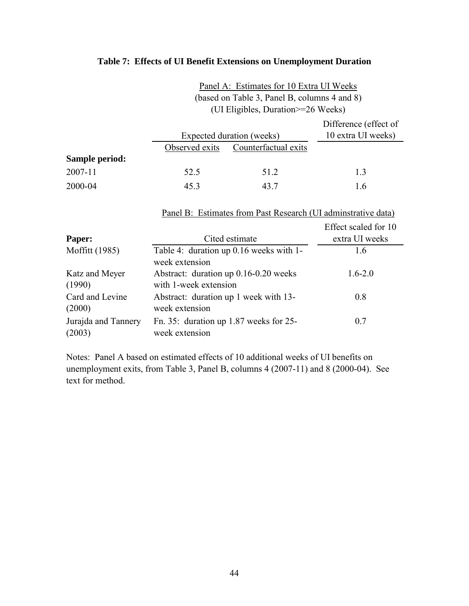# **Table 7: Effects of UI Benefit Extensions on Unemployment Duration**

| Panel A: Estimates for 10 Extra UI Weeks     |
|----------------------------------------------|
| (based on Table 3, Panel B, columns 4 and 8) |
| (UI Eligibles, Duration>=26 Weeks)           |

|                |                |                           | Difference (effect of |
|----------------|----------------|---------------------------|-----------------------|
|                |                | Expected duration (weeks) | 10 extra UI weeks)    |
|                | Observed exits | Counterfactual exits      |                       |
| Sample period: |                |                           |                       |
| 2007-11        | 52.5           | 51.2                      | 1.3                   |
| 2000-04        | 45.3           | 43 7                      | l.6                   |

Panel B: Estimates from Past Research (UI adminstrative data)

|                               |                                                                | Effect scaled for 10 |
|-------------------------------|----------------------------------------------------------------|----------------------|
| Paper:                        | Cited estimate                                                 | extra UI weeks       |
| Moffitt (1985)                | Table 4: duration up 0.16 weeks with 1-<br>week extension      | 1.6                  |
| Katz and Meyer<br>(1990)      | Abstract: duration up 0.16-0.20 weeks<br>with 1-week extension | $1.6 - 2.0$          |
| Card and Levine<br>(2000)     | Abstract: duration up 1 week with 13-<br>week extension        | 0.8                  |
| Jurajda and Tannery<br>(2003) | Fn. 35: duration up $1.87$ weeks for 25-<br>week extension     | 0.7                  |

Notes: Panel A based on estimated effects of 10 additional weeks of UI benefits on unemployment exits, from Table 3, Panel B, columns 4 (2007-11) and 8 (2000-04). See text for method.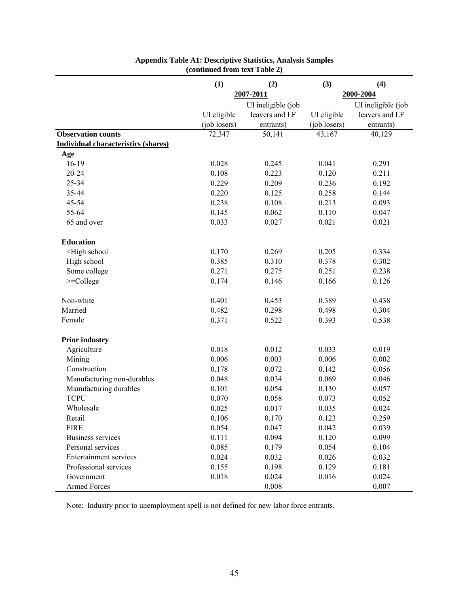|                                                                                        | (1)          | (2)                | (3)          | (4)                |
|----------------------------------------------------------------------------------------|--------------|--------------------|--------------|--------------------|
|                                                                                        |              | 2007-2011          |              | 2000-2004          |
|                                                                                        |              | UI ineligible (job |              | UI ineligible (job |
|                                                                                        | UI eligible  | leavers and LF     | UI eligible  | leavers and LF     |
|                                                                                        | (job losers) | entrants)          | (job losers) | entrants)          |
| <b>Observation counts</b>                                                              | 72,347       | 50,141             | 43,167       | 40,129             |
| <b>Individual characteristics (shares)</b>                                             |              |                    |              |                    |
| Age                                                                                    |              |                    |              |                    |
| $16-19$                                                                                | 0.028        | 0.245              | 0.041        | 0.291              |
| 20-24                                                                                  | 0.108        | 0.223              | 0.120        | 0.211              |
| 25-34                                                                                  | 0.229        | 0.209              | 0.236        | 0.192              |
| 35-44                                                                                  | 0.220        | 0.125              | 0.258        | 0.144              |
| 45-54                                                                                  | 0.238        | 0.108              | 0.213        | 0.093              |
| 55-64                                                                                  | 0.145        | 0.062              | 0.110        | 0.047              |
| 65 and over                                                                            | 0.033        | 0.027              | 0.021        | 0.021              |
| <b>Education</b>                                                                       |              |                    |              |                    |
| <high school<="" td=""><td>0.170</td><td>0.269</td><td>0.205</td><td>0.334</td></high> | 0.170        | 0.269              | 0.205        | 0.334              |
| High school                                                                            | 0.385        | 0.310              | 0.378        | 0.302              |
| Some college                                                                           | 0.271        | 0.275              | 0.251        | 0.238              |
| $>=$ College                                                                           | 0.174        | 0.146              | 0.166        | 0.126              |
| Non-white                                                                              | 0.401        | 0.453              | 0.389        | 0.438              |
| Married                                                                                | 0.482        | 0.298              | 0.498        | 0.304              |
| Female                                                                                 | 0.371        | 0.522              | 0.393        | 0.538              |
| <b>Prior industry</b>                                                                  |              |                    |              |                    |
| Agriculture                                                                            | 0.018        | 0.012              | 0.033        | 0.019              |
| Mining                                                                                 | 0.006        | 0.003              | 0.006        | 0.002              |
| Construction                                                                           | 0.178        | 0.072              | 0.142        | 0.056              |
| Manufacturing non-durables                                                             | 0.048        | 0.034              | 0.069        | 0.046              |
| Manufacturing durables                                                                 | 0.101        | 0.054              | 0.130        | 0.057              |
| <b>TCPU</b>                                                                            | 0.070        | 0.058              | 0.073        | 0.052              |
| Wholesale                                                                              | 0.025        | 0.017              | 0.035        | 0.024              |
| Retail                                                                                 | 0.106        | 0.170              | 0.123        | 0.259              |
| <b>FIRE</b>                                                                            | 0.054        | 0.047              | 0.042        | 0.039              |
| <b>Business services</b>                                                               | 0.111        | 0.094              | 0.120        | 0.099              |
| Personal services                                                                      | 0.085        | 0.179              | 0.054        | 0.104              |
| Entertainment services                                                                 | 0.024        | 0.032              | 0.026        | 0.032              |
| Professional services                                                                  | 0.155        | 0.198              | 0.129        | 0.181              |
| Government                                                                             | 0.018        | 0.024              | 0.016        | 0.024              |
| <b>Armed Forces</b>                                                                    |              | 0.008              |              | 0.007              |

# **Appendix Table A1: Descriptive Statistics, Analysis Samples (continued from text Table 2)**

Note: Industry prior to unemployment spell is not defined for new labor force entrants.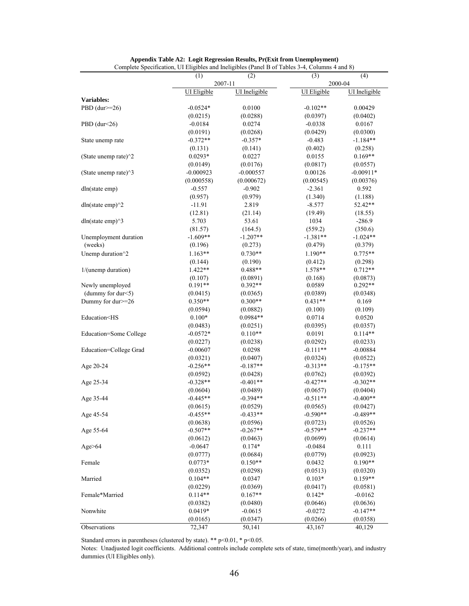| $\epsilon$ comprete operation, or $E_{\rm m}$                                                                       | (1)<br>(2)<br>2007-11 |                      | (3)                | (4)<br>2000-04       |
|---------------------------------------------------------------------------------------------------------------------|-----------------------|----------------------|--------------------|----------------------|
|                                                                                                                     | <b>UI</b> Eligible    | <b>UI</b> Ineligible | <b>UI</b> Eligible | <b>UI</b> Ineligible |
| Variables:                                                                                                          |                       |                      |                    |                      |
| PBD $(dw>=26)$                                                                                                      | $-0.0524*$            | 0.0100               | $-0.102**$         | 0.00429              |
|                                                                                                                     | (0.0215)              | (0.0288)             | (0.0397)           | (0.0402)             |
| PBD $(dur<26)$                                                                                                      | $-0.0184$             | 0.0274               | $-0.0338$          | 0.0167               |
|                                                                                                                     | (0.0191)              | (0.0268)             | (0.0429)           | (0.0300)             |
| State unemp rate                                                                                                    | $-0.372**$            | $-0.357*$            | $-0.483$           | $-1.184**$           |
|                                                                                                                     | (0.131)               | (0.141)              | (0.402)            | (0.258)              |
| (State unemp rate) $\hat{ }$ 2                                                                                      | $0.0293*$             | 0.0227               | 0.0155             | $0.169**$            |
|                                                                                                                     | (0.0149)              | (0.0176)             | (0.0817)           | (0.0557)             |
| (State unemp rate)^3                                                                                                | $-0.000923$           | $-0.000557$          | 0.00126            | $-0.00911*$          |
|                                                                                                                     | (0.000558)            | (0.000672)           | (0.00545)          | (0.00376)            |
| dln(state emp)                                                                                                      | $-0.557$              | $-0.902$             | $-2.361$           | 0.592                |
|                                                                                                                     | (0.957)               | (0.979)              | (1.340)            | (1.188)              |
| dln(state emp) $\binom{2}{2}$                                                                                       | $-11.91$              | 2.819                | $-8.577$           | 52.42**              |
|                                                                                                                     | (12.81)               | (21.14)              | (19.49)            | (18.55)              |
| dln(state emp) $\frac{3}{3}$                                                                                        | 5.703                 | 53.61                | 1034               | $-286.9$             |
|                                                                                                                     | (81.57)               | (164.5)              | (559.2)            | (350.6)              |
| Unemployment duration                                                                                               | $-1.609**$            | $-1.207**$           | $-1.381**$         | $-1.024**$           |
| (weeks)                                                                                                             | (0.196)               | (0.273)              | (0.479)            | (0.379)              |
| Unemp duration^2                                                                                                    | $1.163**$             | $0.730**$            | $1.190**$          | $0.775**$            |
|                                                                                                                     | (0.144)               | (0.190)              | (0.412)            | (0.298)              |
| 1/(unemp duration)                                                                                                  | 1.422**               | $0.488**$            | 1.578**            | $0.712**$            |
|                                                                                                                     | (0.107)               | (0.0891)             | (0.168)            | (0.0873)             |
| Newly unemployed                                                                                                    | $0.191**$             | $0.392**$            | 0.0589             | $0.292**$            |
| (dummy for dur<5)                                                                                                   | (0.0415)              | (0.0365)             | (0.0389)           | (0.0348)             |
| Dummy for dur>=26                                                                                                   | $0.350**$             | $0.300**$            | $0.431**$          | 0.169                |
|                                                                                                                     | (0.0594)              | (0.0882)             | (0.100)            | (0.109)              |
| Education <hs< td=""><td><math>0.100*</math></td><td><math>0.0984**</math></td><td>0.0714</td><td>0.0520</td></hs<> | $0.100*$              | $0.0984**$           | 0.0714             | 0.0520               |
|                                                                                                                     | (0.0483)              | (0.0251)             | (0.0395)           | (0.0357)             |
| Education=Some College                                                                                              | $-0.0572*$            | $0.110**$            | 0.0191             | $0.114**$            |
|                                                                                                                     | (0.0227)              | (0.0238)             | (0.0292)           | (0.0233)             |
| Education=College Grad                                                                                              | $-0.00607$            | 0.0298               | $-0.111**$         | $-0.00884$           |
|                                                                                                                     | (0.0321)              | (0.0407)             | (0.0324)           | (0.0522)             |
| Age 20-24                                                                                                           | $-0.256**$            | $-0.187**$           | $-0.313**$         | $-0.175**$           |
|                                                                                                                     | (0.0592)              | (0.0428)             | (0.0762)           | (0.0392)             |
| Age 25-34                                                                                                           | $-0.328**$            | $-0.401**$           | $-0.427**$         | $-0.302**$           |
|                                                                                                                     | (0.0604)              | (0.0489)             | (0.0657)           | (0.0404)             |
| Age 35-44                                                                                                           | $-0.445**$            | $-0.394**$           | $-0.511**$         | $-0.400**$           |
|                                                                                                                     | (0.0615)              | (0.0529)             | (0.0565)           | (0.0427)             |
| Age 45-54                                                                                                           | $-0.455**$            | $-0.433**$           | $-0.590**$         | $-0.489**$           |
|                                                                                                                     | (0.0638)              | (0.0596)             | (0.0723)           | (0.0526)             |
| Age 55-64                                                                                                           | $-0.507**$            | $-0.267**$           | $-0.579**$         | $-0.237**$           |
|                                                                                                                     | (0.0612)              | (0.0463)             | (0.0699)           | (0.0614)             |
| Age $>64$                                                                                                           | $-0.0647$             | $0.174*$             | $-0.0484$          | 0.111                |
|                                                                                                                     | (0.0777)              | (0.0684)             | (0.0779)           | (0.0923)             |
| Female                                                                                                              | $0.0773*$             | $0.150**$            | 0.0432             | $0.190**$            |
|                                                                                                                     | (0.0352)              | (0.0298)             | (0.0513)           | (0.0320)             |
| Married                                                                                                             | $0.104**$             | 0.0347               | $0.103*$           | $0.159**$            |
|                                                                                                                     | (0.0229)              | (0.0369)             | (0.0417)           | (0.0581)             |
| Female*Married                                                                                                      | $0.114**$             | $0.167**$            | $0.142*$           | $-0.0162$            |
|                                                                                                                     | (0.0382)              | (0.0480)             | (0.0646)           | (0.0636)             |
| Nonwhite                                                                                                            | $0.0419*$             | $-0.0615$            | $-0.0272$          | $-0.147**$           |
|                                                                                                                     | (0.0165)              | (0.0347)             | (0.0266)           | (0.0358)             |
| Observations                                                                                                        | 72,347                | 50,141               | 43,167             | 40,129               |

**Appendix Table A2: Logit Regression Results, Pr(Exit from Unemployment)** Complete Specification, UI Eligibles and Ineligibles (Panel B of Tables 3-4, Columns 4 and 8)

Standard errors in parentheses (clustered by state). \*\* p<0.01, \* p<0.05.

Notes: Unadjusted logit coefficients. Additional controls include complete sets of state, time(month/year), and industry dummies (UI Eligibles only).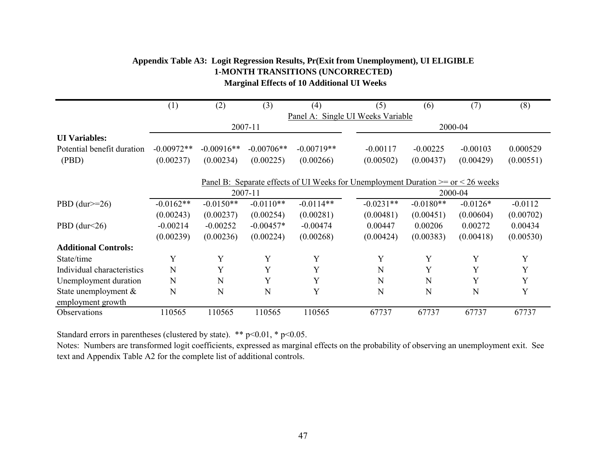|                             | (1)                               | (2)          | (3)          | (4)          | (5)         | (6)                                                                                     | (7)        | (8)       |  |  |  |  |
|-----------------------------|-----------------------------------|--------------|--------------|--------------|-------------|-----------------------------------------------------------------------------------------|------------|-----------|--|--|--|--|
|                             | Panel A: Single UI Weeks Variable |              |              |              |             |                                                                                         |            |           |  |  |  |  |
|                             | 2007-11                           |              |              |              |             | 2000-04                                                                                 |            |           |  |  |  |  |
| <b>UI</b> Variables:        |                                   |              |              |              |             |                                                                                         |            |           |  |  |  |  |
| Potential benefit duration  | $-0.00972**$                      | $-0.00916**$ | $-0.00706**$ | $-0.00719**$ | $-0.00117$  | $-0.00225$                                                                              | $-0.00103$ | 0.000529  |  |  |  |  |
| (PBD)                       | (0.00237)                         | (0.00234)    | (0.00225)    | (0.00266)    | (0.00502)   | (0.00437)                                                                               | (0.00429)  | (0.00551) |  |  |  |  |
|                             |                                   |              |              |              |             |                                                                                         |            |           |  |  |  |  |
|                             |                                   |              |              |              |             | Panel B: Separate effects of UI Weeks for Unemployment Duration $>=$ or $\leq$ 26 weeks |            |           |  |  |  |  |
|                             |                                   |              | 2007-11      |              |             | 2000-04                                                                                 |            |           |  |  |  |  |
| PBD $(dur>=26)$             | $-0.0162**$                       | $-0.0150**$  | $-0.0110**$  | $-0.0114**$  | $-0.0231**$ | $-0.0180**$                                                                             | $-0.0126*$ | $-0.0112$ |  |  |  |  |
|                             | (0.00243)                         | (0.00237)    | (0.00254)    | (0.00281)    | (0.00481)   | (0.00451)                                                                               | (0.00604)  | (0.00702) |  |  |  |  |
| PBD $(dur<26)$              | $-0.00214$                        | $-0.00252$   | $-0.00457*$  | $-0.00474$   | 0.00447     | 0.00206                                                                                 | 0.00272    | 0.00434   |  |  |  |  |
|                             | (0.00239)                         | (0.00236)    | (0.00224)    | (0.00268)    | (0.00424)   | (0.00383)                                                                               | (0.00418)  | (0.00530) |  |  |  |  |
| <b>Additional Controls:</b> |                                   |              |              |              |             |                                                                                         |            |           |  |  |  |  |
| State/time                  | Y                                 | Y            | Y            | Y            | Y           | Y                                                                                       | Y          | Y         |  |  |  |  |
| Individual characteristics  | N                                 | Y            | Y            | Y            | N           | Y                                                                                       | Y          | Y         |  |  |  |  |
| Unemployment duration       | N                                 | N            | Y            | Y            | N           | N                                                                                       | Y          | Y         |  |  |  |  |
| State unemployment &        | N                                 | N            | N            | Y            | N           | N                                                                                       | N          | Y         |  |  |  |  |
| employment growth           |                                   |              |              |              |             |                                                                                         |            |           |  |  |  |  |
| Observations                | 110565                            | 110565       | 110565       | 110565       | 67737       | 67737                                                                                   | 67737      | 67737     |  |  |  |  |

# **Appendix Table A3: Logit Regression Results, Pr(Exit from Unemployment), UI ELIGIBLE Marginal Effects of 10 Additional UI Weeks 1-MONTH TRANSITIONS (UNCORRECTED)**

Standard errors in parentheses (clustered by state). \*\*  $p<0.01$ , \*  $p<0.05$ .